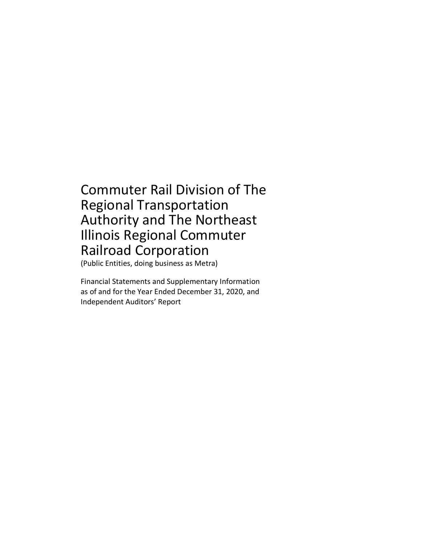## Commuter Rail Division of The Regional Transportation Authority and The Northeast Illinois Regional Commuter Railroad Corporation

(Public Entities, doing business as Metra)

Financial Statements and Supplementary Information as of and for the Year Ended December 31, 2020, and Independent Auditors' Report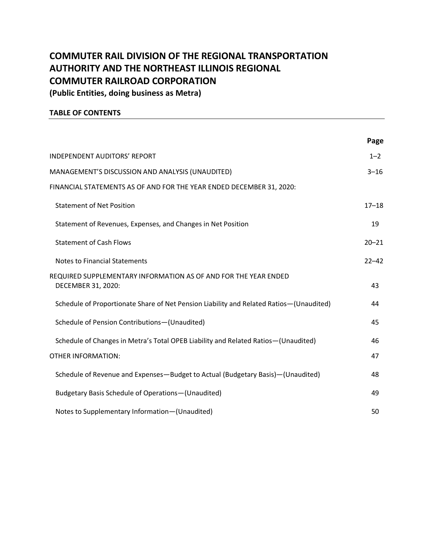## **COMMUTER RAIL DIVISION OF THE REGIONAL TRANSPORTATION AUTHORITY AND THE NORTHEAST ILLINOIS REGIONAL COMMUTER RAILROAD CORPORATION (Public Entities, doing business as Metra)**

#### **TABLE OF CONTENTS**

|                                                                                         | Page      |
|-----------------------------------------------------------------------------------------|-----------|
| <b>INDEPENDENT AUDITORS' REPORT</b>                                                     | $1 - 2$   |
| MANAGEMENT'S DISCUSSION AND ANALYSIS (UNAUDITED)                                        | $3 - 16$  |
| FINANCIAL STATEMENTS AS OF AND FOR THE YEAR ENDED DECEMBER 31, 2020:                    |           |
| <b>Statement of Net Position</b>                                                        | $17 - 18$ |
| Statement of Revenues, Expenses, and Changes in Net Position                            | 19        |
| <b>Statement of Cash Flows</b>                                                          | $20 - 21$ |
| <b>Notes to Financial Statements</b>                                                    | $22 - 42$ |
| REQUIRED SUPPLEMENTARY INFORMATION AS OF AND FOR THE YEAR ENDED<br>DECEMBER 31, 2020:   | 43        |
| Schedule of Proportionate Share of Net Pension Liability and Related Ratios-(Unaudited) | 44        |
| Schedule of Pension Contributions-(Unaudited)                                           | 45        |
| Schedule of Changes in Metra's Total OPEB Liability and Related Ratios-(Unaudited)      | 46        |
| <b>OTHER INFORMATION:</b>                                                               | 47        |
| Schedule of Revenue and Expenses-Budget to Actual (Budgetary Basis)-(Unaudited)         | 48        |
| <b>Budgetary Basis Schedule of Operations-(Unaudited)</b>                               | 49        |
| Notes to Supplementary Information-(Unaudited)                                          | 50        |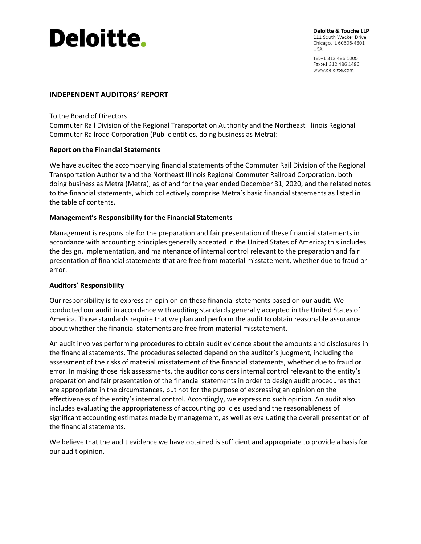# **Deloitte.**

Deloitte & Touche LLP 111 South Wacker Drive Chicago, IL 60606-4301 **USA** 

Tel: +1 312 486 1000 Fax: +1 312 486 1486 www.deloitte.com

#### **INDEPENDENT AUDITORS' REPORT**

To the Board of Directors

Commuter Rail Division of the Regional Transportation Authority and the Northeast Illinois Regional Commuter Railroad Corporation (Public entities, doing business as Metra):

#### **Report on the Financial Statements**

We have audited the accompanying financial statements of the Commuter Rail Division of the Regional Transportation Authority and the Northeast Illinois Regional Commuter Railroad Corporation, both doing business as Metra (Metra), as of and for the year ended December 31, 2020, and the related notes to the financial statements, which collectively comprise Metra's basic financial statements as listed in the table of contents.

#### **Management's Responsibility for the Financial Statements**

Management is responsible for the preparation and fair presentation of these financial statements in accordance with accounting principles generally accepted in the United States of America; this includes the design, implementation, and maintenance of internal control relevant to the preparation and fair presentation of financial statements that are free from material misstatement, whether due to fraud or error.

#### **Auditors' Responsibility**

Our responsibility is to express an opinion on these financial statements based on our audit. We conducted our audit in accordance with auditing standards generally accepted in the United States of America. Those standards require that we plan and perform the audit to obtain reasonable assurance about whether the financial statements are free from material misstatement.

An audit involves performing procedures to obtain audit evidence about the amounts and disclosures in the financial statements. The procedures selected depend on the auditor's judgment, including the assessment of the risks of material misstatement of the financial statements, whether due to fraud or error. In making those risk assessments, the auditor considers internal control relevant to the entity's preparation and fair presentation of the financial statements in order to design audit procedures that are appropriate in the circumstances, but not for the purpose of expressing an opinion on the effectiveness of the entity's internal control. Accordingly, we express no such opinion. An audit also includes evaluating the appropriateness of accounting policies used and the reasonableness of significant accounting estimates made by management, as well as evaluating the overall presentation of the financial statements.

We believe that the audit evidence we have obtained is sufficient and appropriate to provide a basis for our audit opinion.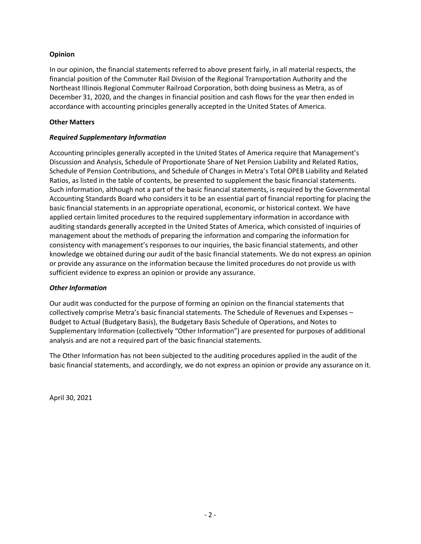#### **Opinion**

In our opinion, the financial statements referred to above present fairly, in all material respects, the financial position of the Commuter Rail Division of the Regional Transportation Authority and the Northeast Illinois Regional Commuter Railroad Corporation, both doing business as Metra, as of December 31, 2020, and the changes in financial position and cash flows for the year then ended in accordance with accounting principles generally accepted in the United States of America.

#### **Other Matters**

#### *Required Supplementary Information*

Accounting principles generally accepted in the United States of America require that Management's Discussion and Analysis, Schedule of Proportionate Share of Net Pension Liability and Related Ratios, Schedule of Pension Contributions, and Schedule of Changes in Metra's Total OPEB Liability and Related Ratios, as listed in the table of contents, be presented to supplement the basic financial statements. Such information, although not a part of the basic financial statements, is required by the Governmental Accounting Standards Board who considers it to be an essential part of financial reporting for placing the basic financial statements in an appropriate operational, economic, or historical context. We have applied certain limited procedures to the required supplementary information in accordance with auditing standards generally accepted in the United States of America, which consisted of inquiries of management about the methods of preparing the information and comparing the information for consistency with management's responses to our inquiries, the basic financial statements, and other knowledge we obtained during our audit of the basic financial statements. We do not express an opinion or provide any assurance on the information because the limited procedures do not provide us with sufficient evidence to express an opinion or provide any assurance.

#### *Other Information*

Our audit was conducted for the purpose of forming an opinion on the financial statements that collectively comprise Metra's basic financial statements. The Schedule of Revenues and Expenses – Budget to Actual (Budgetary Basis), the Budgetary Basis Schedule of Operations, and Notes to Supplementary Information (collectively "Other Information") are presented for purposes of additional analysis and are not a required part of the basic financial statements.

The Other Information has not been subjected to the auditing procedures applied in the audit of the basic financial statements, and accordingly, we do not express an opinion or provide any assurance on it.

April 30, 2021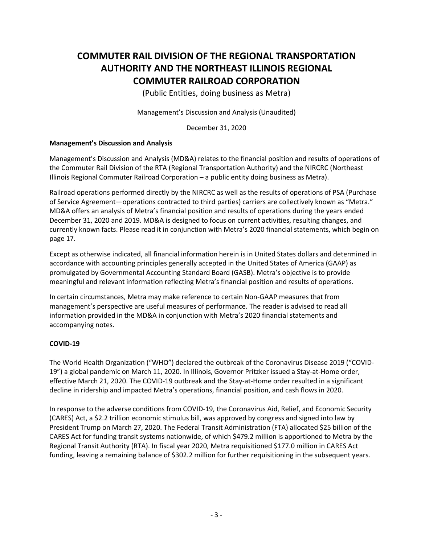(Public Entities, doing business as Metra)

Management's Discussion and Analysis (Unaudited)

December 31, 2020

#### **Management's Discussion and Analysis**

Management's Discussion and Analysis (MD&A) relates to the financial position and results of operations of the Commuter Rail Division of the RTA (Regional Transportation Authority) and the NIRCRC (Northeast Illinois Regional Commuter Railroad Corporation – a public entity doing business as Metra).

Railroad operations performed directly by the NIRCRC as well as the results of operations of PSA (Purchase of Service Agreement—operations contracted to third parties) carriers are collectively known as "Metra." MD&A offers an analysis of Metra's financial position and results of operations during the years ended December 31, 2020 and 2019. MD&A is designed to focus on current activities, resulting changes, and currently known facts. Please read it in conjunction with Metra's 2020 financial statements, which begin on page 17.

Except as otherwise indicated, all financial information herein is in United States dollars and determined in accordance with accounting principles generally accepted in the United States of America (GAAP) as promulgated by Governmental Accounting Standard Board (GASB). Metra's objective is to provide meaningful and relevant information reflecting Metra's financial position and results of operations.

In certain circumstances, Metra may make reference to certain Non-GAAP measures that from management's perspective are useful measures of performance. The reader is advised to read all information provided in the MD&A in conjunction with Metra's 2020 financial statements and accompanying notes.

#### **COVID-19**

The World Health Organization ("WHO") declared the outbreak of the Coronavirus Disease 2019 ("COVID-19") a global pandemic on March 11, 2020. In Illinois, Governor Pritzker issued a Stay-at-Home order, effective March 21, 2020. The COVID-19 outbreak and the Stay-at-Home order resulted in a significant decline in ridership and impacted Metra's operations, financial position, and cash flows in 2020.

In response to the adverse conditions from COVID-19, the Coronavirus Aid, Relief, and Economic Security (CARES) Act, a \$2.2 trillion economic stimulus bill, was approved by congress and signed into law by President Trump on March 27, 2020. The Federal Transit Administration (FTA) allocated \$25 billion of the CARES Act for funding transit systems nationwide, of which \$479.2 million is apportioned to Metra by the Regional Transit Authority (RTA). In fiscal year 2020, Metra requisitioned \$177.0 million in CARES Act funding, leaving a remaining balance of \$302.2 million for further requisitioning in the subsequent years.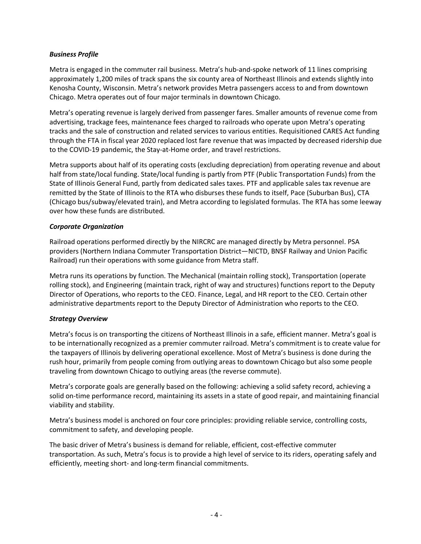#### *Business Profile*

Metra is engaged in the commuter rail business. Metra's hub-and-spoke network of 11 lines comprising approximately 1,200 miles of track spans the six county area of Northeast Illinois and extends slightly into Kenosha County, Wisconsin. Metra's network provides Metra passengers access to and from downtown Chicago. Metra operates out of four major terminals in downtown Chicago.

Metra's operating revenue is largely derived from passenger fares. Smaller amounts of revenue come from advertising, trackage fees, maintenance fees charged to railroads who operate upon Metra's operating tracks and the sale of construction and related services to various entities. Requisitioned CARES Act funding through the FTA in fiscal year 2020 replaced lost fare revenue that was impacted by decreased ridership due to the COVID-19 pandemic, the Stay-at-Home order, and travel restrictions.

Metra supports about half of its operating costs (excluding depreciation) from operating revenue and about half from state/local funding. State/local funding is partly from PTF (Public Transportation Funds) from the State of Illinois General Fund, partly from dedicated sales taxes. PTF and applicable sales tax revenue are remitted by the State of Illinois to the RTA who disburses these funds to itself, Pace (Suburban Bus), CTA (Chicago bus/subway/elevated train), and Metra according to legislated formulas. The RTA has some leeway over how these funds are distributed.

#### *Corporate Organization*

Railroad operations performed directly by the NIRCRC are managed directly by Metra personnel. PSA providers (Northern Indiana Commuter Transportation District—NICTD, BNSF Railway and Union Pacific Railroad) run their operations with some guidance from Metra staff.

Metra runs its operations by function. The Mechanical (maintain rolling stock), Transportation (operate rolling stock), and Engineering (maintain track, right of way and structures) functions report to the Deputy Director of Operations, who reports to the CEO. Finance, Legal, and HR report to the CEO. Certain other administrative departments report to the Deputy Director of Administration who reports to the CEO.

#### *Strategy Overview*

Metra's focus is on transporting the citizens of Northeast Illinois in a safe, efficient manner. Metra's goal is to be internationally recognized as a premier commuter railroad. Metra's commitment is to create value for the taxpayers of Illinois by delivering operational excellence. Most of Metra's business is done during the rush hour, primarily from people coming from outlying areas to downtown Chicago but also some people traveling from downtown Chicago to outlying areas (the reverse commute).

Metra's corporate goals are generally based on the following: achieving a solid safety record, achieving a solid on-time performance record, maintaining its assets in a state of good repair, and maintaining financial viability and stability.

Metra's business model is anchored on four core principles: providing reliable service, controlling costs, commitment to safety, and developing people.

The basic driver of Metra's business is demand for reliable, efficient, cost-effective commuter transportation. As such, Metra's focus is to provide a high level of service to its riders, operating safely and efficiently, meeting short- and long-term financial commitments.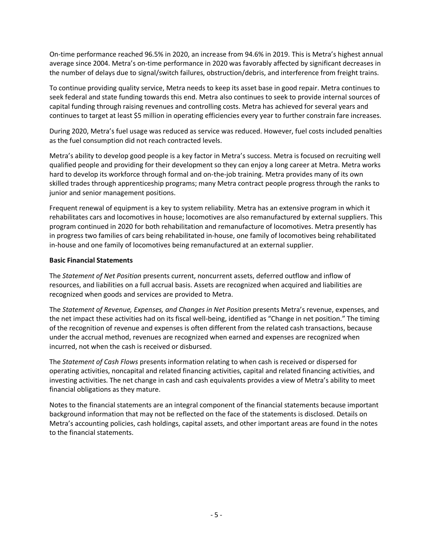On-time performance reached 96.5% in 2020, an increase from 94.6% in 2019. This is Metra's highest annual average since 2004. Metra's on-time performance in 2020 was favorably affected by significant decreases in the number of delays due to signal/switch failures, obstruction/debris, and interference from freight trains.

To continue providing quality service, Metra needs to keep its asset base in good repair. Metra continues to seek federal and state funding towards this end. Metra also continues to seek to provide internal sources of capital funding through raising revenues and controlling costs. Metra has achieved for several years and continues to target at least \$5 million in operating efficiencies every year to further constrain fare increases.

During 2020, Metra's fuel usage was reduced as service was reduced. However, fuel costs included penalties as the fuel consumption did not reach contracted levels.

Metra's ability to develop good people is a key factor in Metra's success. Metra is focused on recruiting well qualified people and providing for their development so they can enjoy a long career at Metra. Metra works hard to develop its workforce through formal and on-the-job training. Metra provides many of its own skilled trades through apprenticeship programs; many Metra contract people progress through the ranks to junior and senior management positions.

Frequent renewal of equipment is a key to system reliability. Metra has an extensive program in which it rehabilitates cars and locomotives in house; locomotives are also remanufactured by external suppliers. This program continued in 2020 for both rehabilitation and remanufacture of locomotives. Metra presently has in progress two families of cars being rehabilitated in-house, one family of locomotives being rehabilitated in-house and one family of locomotives being remanufactured at an external supplier.

#### **Basic Financial Statements**

The *Statement of Net Position* presents current, noncurrent assets, deferred outflow and inflow of resources, and liabilities on a full accrual basis. Assets are recognized when acquired and liabilities are recognized when goods and services are provided to Metra.

The *Statement of Revenue, Expenses, and Changes in Net Position* presents Metra's revenue, expenses, and the net impact these activities had on its fiscal well-being, identified as "Change in net position." The timing of the recognition of revenue and expenses is often different from the related cash transactions, because under the accrual method, revenues are recognized when earned and expenses are recognized when incurred, not when the cash is received or disbursed.

The *Statement of Cash Flows* presents information relating to when cash is received or dispersed for operating activities, noncapital and related financing activities, capital and related financing activities, and investing activities. The net change in cash and cash equivalents provides a view of Metra's ability to meet financial obligations as they mature.

Notes to the financial statements are an integral component of the financial statements because important background information that may not be reflected on the face of the statements is disclosed. Details on Metra's accounting policies, cash holdings, capital assets, and other important areas are found in the notes to the financial statements.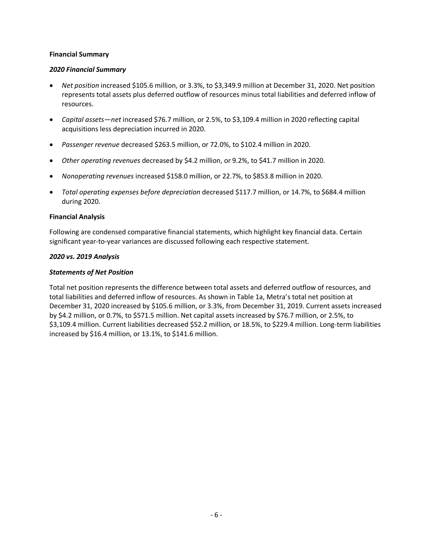#### **Financial Summary**

#### *2020 Financial Summary*

- *Net position* increased \$105.6 million, or 3.3%, to \$3,349.9 million at December 31, 2020. Net position represents total assets plus deferred outflow of resources minus total liabilities and deferred inflow of resources.
- *Capital assets—net* increased \$76.7 million, or 2.5%, to \$3,109.4 million in 2020 reflecting capital acquisitions less depreciation incurred in 2020.
- *Passenger revenue* decreased \$263.5 million, or 72.0%, to \$102.4 million in 2020.
- *Other operating revenues* decreased by \$4.2 million, or 9.2%, to \$41.7 million in 2020.
- *Nonoperating revenues* increased \$158.0 million, or 22.7%, to \$853.8 million in 2020.
- *Total operating expenses before depreciation* decreased \$117.7 million, or 14.7%, to \$684.4 million during 2020.

#### **Financial Analysis**

Following are condensed comparative financial statements, which highlight key financial data. Certain significant year-to-year variances are discussed following each respective statement.

#### *2020 vs. 2019 Analysis*

#### *Statements of Net Position*

Total net position represents the difference between total assets and deferred outflow of resources, and total liabilities and deferred inflow of resources. As shown in Table 1a, Metra's total net position at December 31, 2020 increased by \$105.6 million, or 3.3%, from December 31, 2019. Current assets increased by \$4.2 million, or 0.7%, to \$571.5 million. Net capital assets increased by \$76.7 million, or 2.5%, to \$3,109.4 million. Current liabilities decreased \$52.2 million, or 18.5%, to \$229.4 million. Long-term liabilities increased by \$16.4 million, or 13.1%, to \$141.6 million.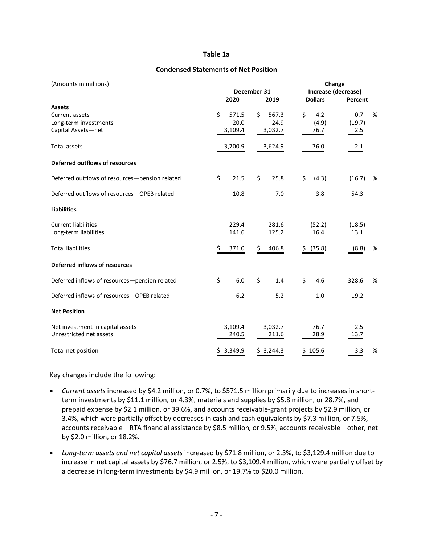#### **Table 1a**

#### **Condensed Statements of Net Position**

| (Amounts in millions)                          |               | Change      |                |                     |
|------------------------------------------------|---------------|-------------|----------------|---------------------|
|                                                |               | December 31 |                | Increase (decrease) |
|                                                | 2020          | 2019        | <b>Dollars</b> | Percent             |
| <b>Assets</b>                                  |               |             |                |                     |
| Current assets                                 | Ś.<br>571.5   | Ŝ.<br>567.3 | \$<br>4.2      | 0.7<br>%            |
| Long-term investments                          | 20.0          | 24.9        | (4.9)          | (19.7)              |
| Capital Assets-net                             | 3,109.4       | 3,032.7     | 76.7           | 2.5                 |
| Total assets                                   | 3,700.9       | 3,624.9     | 76.0           | 2.1                 |
| Deferred outflows of resources                 |               |             |                |                     |
| Deferred outflows of resources-pension related | \$<br>21.5    | \$<br>25.8  | \$<br>(4.3)    | (16.7)<br>%         |
| Deferred outflows of resources-OPEB related    | 10.8          | 7.0         | 3.8            | 54.3                |
| <b>Liabilities</b>                             |               |             |                |                     |
| <b>Current liabilities</b>                     | 229.4         | 281.6       | (52.2)         | (18.5)              |
| Long-term liabilities                          | 141.6         | 125.2       | 16.4           | 13.1                |
|                                                |               |             |                |                     |
| <b>Total liabilities</b>                       | \$<br>371.0   | \$<br>406.8 | (35.8)<br>\$   | (8.8)<br>%          |
| Deferred inflows of resources                  |               |             |                |                     |
| Deferred inflows of resources-pension related  | \$<br>6.0     | \$<br>1.4   | \$<br>4.6      | 328.6<br>%          |
| Deferred inflows of resources-OPEB related     | $6.2$         | 5.2         | 1.0            | 19.2                |
| <b>Net Position</b>                            |               |             |                |                     |
| Net investment in capital assets               | 3,109.4       | 3,032.7     | 76.7           | 2.5                 |
| Unrestricted net assets                        | 240.5         | 211.6       | 28.9           | 13.7                |
| Total net position                             | 3,349.9<br>S. | \$3,244.3   | 105.6<br>\$    | %<br>3.3            |

Key changes include the following:

- *Current assets* increased by \$4.2 million, or 0.7%, to \$571.5 million primarily due to increases in shortterm investments by \$11.1 million, or 4.3%, materials and supplies by \$5.8 million, or 28.7%, and prepaid expense by \$2.1 million, or 39.6%, and accounts receivable-grant projects by \$2.9 million, or 3.4%, which were partially offset by decreases in cash and cash equivalents by \$7.3 million, or 7.5%, accounts receivable—RTA financial assistance by \$8.5 million, or 9.5%, accounts receivable—other, net by \$2.0 million, or 18.2%.
- *Long-term assets and net capital assets* increased by \$71.8 million, or 2.3%, to \$3,129.4 million due to increase in net capital assets by \$76.7 million, or 2.5%, to \$3,109.4 million, which were partially offset by a decrease in long-term investments by \$4.9 million, or 19.7% to \$20.0 million.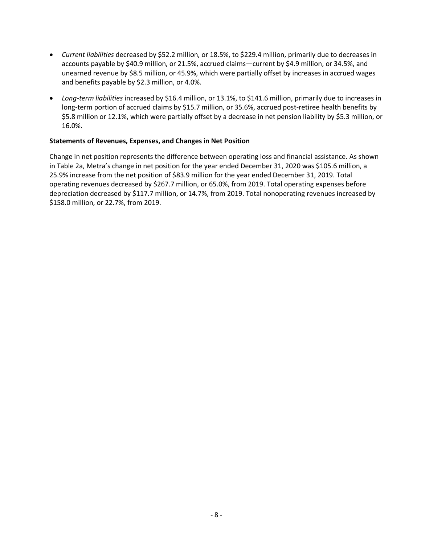- *Current liabilities* decreased by \$52.2 million, or 18.5%, to \$229.4 million, primarily due to decreases in accounts payable by \$40.9 million, or 21.5%, accrued claims—current by \$4.9 million, or 34.5%, and unearned revenue by \$8.5 million, or 45.9%, which were partially offset by increases in accrued wages and benefits payable by \$2.3 million, or 4.0%.
- *Long-term liabilities* increased by \$16.4 million, or 13.1%, to \$141.6 million, primarily due to increases in long-term portion of accrued claims by \$15.7 million, or 35.6%, accrued post-retiree health benefits by \$5.8 million or 12.1%, which were partially offset by a decrease in net pension liability by \$5.3 million, or 16.0%.

#### **Statements of Revenues, Expenses, and Changes in Net Position**

Change in net position represents the difference between operating loss and financial assistance. As shown in Table 2a, Metra's change in net position for the year ended December 31, 2020 was \$105.6 million, a 25.9% increase from the net position of \$83.9 million for the year ended December 31, 2019. Total operating revenues decreased by \$267.7 million, or 65.0%, from 2019. Total operating expenses before depreciation decreased by \$117.7 million, or 14.7%, from 2019. Total nonoperating revenues increased by \$158.0 million, or 22.7%, from 2019.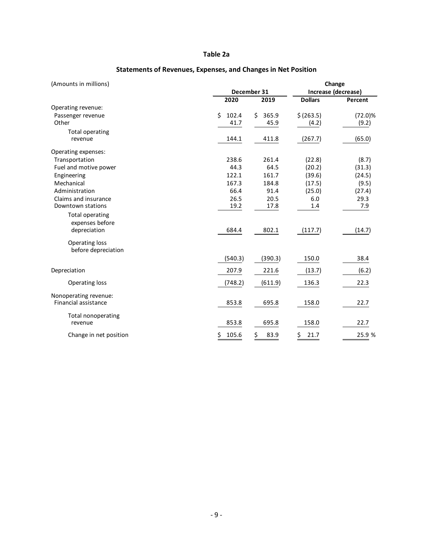#### **Table 2a**

| (Amounts in millions)     |             |              |                | Change              |  |
|---------------------------|-------------|--------------|----------------|---------------------|--|
|                           |             | December 31  |                | Increase (decrease) |  |
|                           | 2020        | 2019         | <b>Dollars</b> | Percent             |  |
| Operating revenue:        |             |              |                |                     |  |
| Passenger revenue         | 102.4<br>Ŝ. | 365.9<br>\$. | \$(263.5)      | $(72.0)\%$          |  |
| Other                     | 41.7        | 45.9         | (4.2)          | (9.2)               |  |
| <b>Total operating</b>    |             |              |                |                     |  |
| revenue                   | 144.1       | 411.8        | (267.7)        | (65.0)              |  |
| Operating expenses:       |             |              |                |                     |  |
| Transportation            | 238.6       | 261.4        | (22.8)         | (8.7)               |  |
| Fuel and motive power     | 44.3        | 64.5         | (20.2)         | (31.3)              |  |
| Engineering               | 122.1       | 161.7        | (39.6)         | (24.5)              |  |
| Mechanical                | 167.3       | 184.8        | (17.5)         | (9.5)               |  |
| Administration            | 66.4        | 91.4         | (25.0)         | (27.4)              |  |
| Claims and insurance      | 26.5        | 20.5         | 6.0            | 29.3                |  |
| Downtown stations         | 19.2        | 17.8         | 1.4            | 7.9                 |  |
| <b>Total operating</b>    |             |              |                |                     |  |
| expenses before           |             |              |                |                     |  |
| depreciation              | 684.4       | 802.1        | (117.7)        | (14.7)              |  |
| <b>Operating loss</b>     |             |              |                |                     |  |
| before depreciation       | (540.3)     | (390.3)      | 150.0          | 38.4                |  |
| Depreciation              | 207.9       | 221.6        | (13.7)         | (6.2)               |  |
| <b>Operating loss</b>     | (748.2)     | (611.9)      | 136.3          | 22.3                |  |
| Nonoperating revenue:     |             |              |                |                     |  |
| Financial assistance      | 853.8       | 695.8        | 158.0          | 22.7                |  |
| <b>Total nonoperating</b> |             |              |                |                     |  |
| revenue                   | 853.8       | 695.8        | 158.0          | 22.7                |  |
| Change in net position    | \$<br>105.6 | \$<br>83.9   | \$<br>21.7     | 25.9 %              |  |

#### **Statements of Revenues, Expenses, and Changes in Net Position**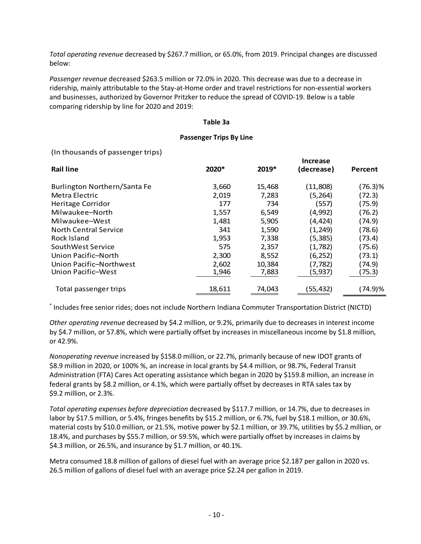*Total operating revenue* decreased by \$267.7 million, or 65.0%, from 2019. Principal changes are discussed below:

*Passenger revenue* decreased \$263.5 million or 72.0% in 2020. This decrease was due to a decrease in ridership, mainly attributable to the Stay-at-Home order and travel restrictions for non-essential workers and businesses, authorized by Governor Pritzker to reduce the spread of COVID-19. Below is a table comparing ridership by line for 2020 and 2019:

#### **Table 3a**

#### **Passenger Trips By Line**

(In thousands of passenger trips)

|        |        | Increase   |         |
|--------|--------|------------|---------|
| 2020*  | 2019*  | (decrease) | Percent |
| 3,660  | 15,468 | (11,808)   | (76.3)% |
| 2,019  | 7,283  | (5,264)    | (72.3)  |
| 177    | 734    | (557)      | (75.9)  |
| 1,557  | 6,549  | (4,992)    | (76.2)  |
| 1,481  | 5,905  | (4,424)    | (74.9)  |
| 341    | 1,590  | (1, 249)   | (78.6)  |
| 1,953  | 7,338  | (5, 385)   | (73.4)  |
| 575    | 2,357  | (1,782)    | (75.6)  |
| 2,300  | 8,552  | (6, 252)   | (73.1)  |
| 2,602  | 10,384 | (7,782)    | (74.9)  |
| 1,946  | 7,883  | (5, 937)   | (75.3)  |
| 18,611 | 74,043 | (55,432)   | (74.9)% |
|        |        |            |         |

\* Includes free senior rides; does not include Northern Indiana Commuter Transportation District (NICTD)

*Other operating revenue* decreased by \$4.2 million, or 9.2%, primarily due to decreases in interest income by \$4.7 million, or 57.8%, which were partially offset by increases in miscellaneous income by \$1.8 million, or 42.9%.

*Nonoperating revenue* increased by \$158.0 million, or 22.7%, primarily because of new IDOT grants of \$8.9 million in 2020, or 100% %, an increase in local grants by \$4.4 million, or 98.7%, Federal Transit Administration (FTA) Cares Act operating assistance which began in 2020 by \$159.8 million, an increase in federal grants by \$8.2 million, or 4.1%, which were partially offset by decreases in RTA sales tax by \$9.2 million, or 2.3%.

*Total operating expenses before depreciation* decreased by \$117.7 million, or 14.7%, due to decreases in labor by \$17.5 million, or 5.4%, fringes benefits by \$15.2 million, or 6.7%, fuel by \$18.1 million, or 30.6%, material costs by \$10.0 million, or 21.5%, motive power by \$2.1 million, or 39.7%, utilities by \$5.2 million, or 18.4%, and purchases by \$55.7 million, or 59.5%, which were partially offset by increases in claims by \$4.3 million, or 26.5%, and insurance by \$1.7 million, or 40.1%.

Metra consumed 18.8 million of gallons of diesel fuel with an average price \$2.187 per gallon in 2020 vs. 26.5 million of gallons of diesel fuel with an average price \$2.24 per gallon in 2019.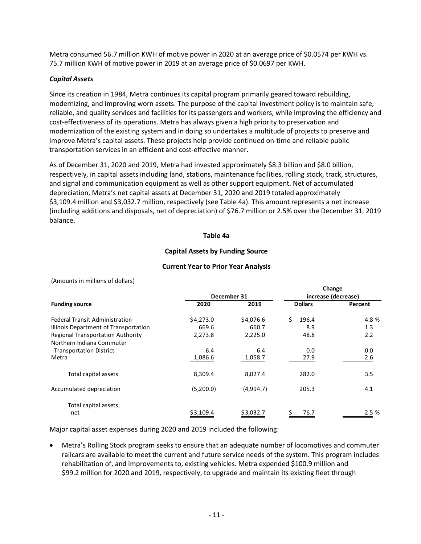Metra consumed 56.7 million KWH of motive power in 2020 at an average price of \$0.0574 per KWH vs. 75.7 million KWH of motive power in 2019 at an average price of \$0.0697 per KWH.

#### *Capital Assets*

Since its creation in 1984, Metra continues its capital program primarily geared toward rebuilding, modernizing, and improving worn assets. The purpose of the capital investment policy is to maintain safe, reliable, and quality services and facilities for its passengers and workers, while improving the efficiency and cost-effectiveness of its operations. Metra has always given a high priority to preservation and modernization of the existing system and in doing so undertakes a multitude of projects to preserve and improve Metra's capital assets. These projects help provide continued on-time and reliable public transportation services in an efficient and cost-effective manner.

As of December 31, 2020 and 2019, Metra had invested approximately \$8.3 billion and \$8.0 billion, respectively, in capital assets including land, stations, maintenance facilities, rolling stock, track, structures, and signal and communication equipment as well as other support equipment. Net of accumulated depreciation, Metra's net capital assets at December 31, 2020 and 2019 totaled approximately \$3,109.4 million and \$3,032.7 million, respectively (see Table 4a). This amount represents a net increase (including additions and disposals, net of depreciation) of \$76.7 million or 2.5% over the December 31, 2019 balance.

#### **Table 4a**

#### **Capital Assets by Funding Source**

#### **Current Year to Prior Year Analysis**

(Amounts in millions of dollars)

|                                                                       | December 31 |           | Change<br>increase (decrease) |         |
|-----------------------------------------------------------------------|-------------|-----------|-------------------------------|---------|
| <b>Funding source</b>                                                 | 2020        | 2019      | <b>Dollars</b>                | Percent |
| <b>Federal Transit Administration</b>                                 | \$4,273.0   | \$4,076.6 | Ś.<br>196.4                   | 4.8 %   |
| Illinois Department of Transportation                                 | 669.6       | 660.7     | 8.9                           | 1.3     |
| <b>Regional Transportation Authority</b><br>Northern Indiana Commuter | 2,273.8     | 2,225.0   | 48.8                          | 2.2     |
| <b>Transportation District</b>                                        | 6.4         | 6.4       | 0.0                           | 0.0     |
| Metra                                                                 | 1,086.6     | 1,058.7   | 27.9                          | 2.6     |
| Total capital assets                                                  | 8,309.4     | 8,027.4   | 282.0                         | 3.5     |
| Accumulated depreciation                                              | (5,200.0)   | (4,994.7) | 205.3                         | 4.1     |
| Total capital assets,<br>net                                          | \$3,109.4   | \$3,032.7 | 76.7                          | 2.5 %   |

Major capital asset expenses during 2020 and 2019 included the following:

• Metra's Rolling Stock program seeks to ensure that an adequate number of locomotives and commuter railcars are available to meet the current and future service needs of the system. This program includes rehabilitation of, and improvements to, existing vehicles. Metra expended \$100.9 million and \$99.2 million for 2020 and 2019, respectively, to upgrade and maintain its existing fleet through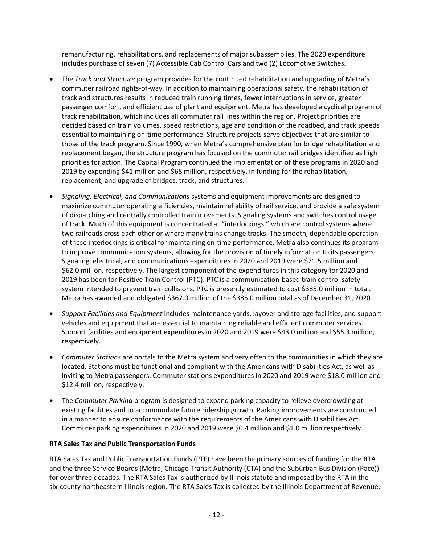remanufacturing, rehabilitations, and replacements of major subassemblies. The 2020 expenditure includes purchase of seven (7) Accessible Cab Control Cars and two (2) Locomotive Switches.

- The *Track and Structure* program provides for the continued rehabilitation and upgrading of Metra's commuter railroad rights-of-way. In addition to maintaining operational safety, the rehabilitation of track and structures results in reduced train running times, fewer interruptions in service, greater passenger comfort, and efficient use of plant and equipment. Metra has developed a cyclical program of track rehabilitation, which includes all commuter rail lines within the region. Project priorities are decided based on train volumes, speed restrictions, age and condition of the roadbed, and track speeds essential to maintaining on-time performance. Structure projects serve objectives that are similar to those of the track program. Since 1990, when Metra's comprehensive plan for bridge rehabilitation and replacement began, the structure program has focused on the commuter rail bridges identified as high priorities for action. The Capital Program continued the implementation of these programs in 2020 and 2019 by expending \$41 million and \$68 million, respectively, in funding for the rehabilitation, replacement, and upgrade of bridges, track, and structures.
- *Signaling, Electrical, and Communications* systems and equipment improvements are designed to maximize commuter operating efficiencies, maintain reliability of rail service, and provide a safe system of dispatching and centrally controlled train movements. Signaling systems and switches control usage of track. Much of this equipment is concentrated at "interlockings," which are control systems where two railroads cross each other or where many trains change tracks. The smooth, dependable operation of these interlockings is critical for maintaining on-time performance. Metra also continues its program to improve communication systems, allowing for the provision of timely information to its passengers. Signaling, electrical, and communications expenditures in 2020 and 2019 were \$71.5 million and \$62.0 million, respectively. The largest component of the expenditures in this category for 2020 and 2019 has been for Positive Train Control (PTC). PTC is a communication-based train control safety system intended to prevent train collisions. PTC is presently estimated to cost \$385.0 million in total. Metra has awarded and obligated \$367.0 million of the \$385.0 million total as of December 31, 2020.
- *Support Facilities and Equipment* includes maintenance yards, layover and storage facilities, and support vehicles and equipment that are essential to maintaining reliable and efficient commuter services. Support facilities and equipment expenditures in 2020 and 2019 were \$43.0 million and \$55.3 million, respectively.
- *Commuter Stations* are portals to the Metra system and very often to the communities in which they are located. Stations must be functional and compliant with the Americans with Disabilities Act, as well as inviting to Metra passengers. Commuter stations expenditures in 2020 and 2019 were \$18.0 million and \$12.4 million, respectively.
- The *Commuter Parking* program is designed to expand parking capacity to relieve overcrowding at existing facilities and to accommodate future ridership growth. Parking improvements are constructed in a manner to ensure conformance with the requirements of the Americans with Disabilities Act. Commuter parking expenditures in 2020 and 2019 were \$0.4 million and \$1.0 million respectively.

#### **RTA Sales Tax and Public Transportation Funds**

RTA Sales Tax and Public Transportation Funds (PTF) have been the primary sources of funding for the RTA and the three Service Boards (Metra, Chicago Transit Authority (CTA) and the Suburban Bus Division (Pace)) for over three decades. The RTA Sales Tax is authorized by Illinois statute and imposed by the RTA in the six-county northeastern Illinois region. The RTA Sales Tax is collected by the Illinois Department of Revenue,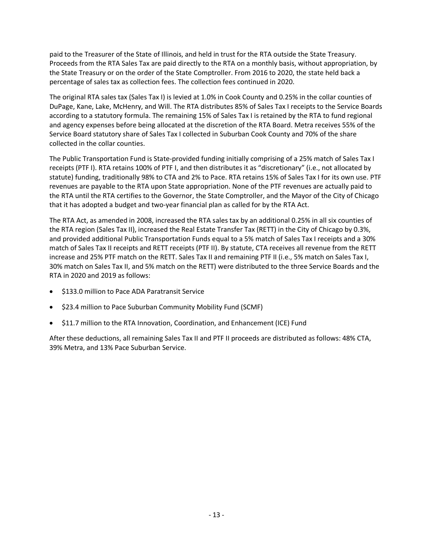paid to the Treasurer of the State of Illinois, and held in trust for the RTA outside the State Treasury. Proceeds from the RTA Sales Tax are paid directly to the RTA on a monthly basis, without appropriation, by the State Treasury or on the order of the State Comptroller. From 2016 to 2020, the state held back a percentage of sales tax as collection fees. The collection fees continued in 2020.

The original RTA sales tax (Sales Tax I) is levied at 1.0% in Cook County and 0.25% in the collar counties of DuPage, Kane, Lake, McHenry, and Will. The RTA distributes 85% of Sales Tax I receipts to the Service Boards according to a statutory formula. The remaining 15% of Sales Tax I is retained by the RTA to fund regional and agency expenses before being allocated at the discretion of the RTA Board. Metra receives 55% of the Service Board statutory share of Sales Tax I collected in Suburban Cook County and 70% of the share collected in the collar counties.

The Public Transportation Fund is State-provided funding initially comprising of a 25% match of Sales Tax I receipts (PTF I). RTA retains 100% of PTF I, and then distributes it as "discretionary" (i.e., not allocated by statute) funding, traditionally 98% to CTA and 2% to Pace. RTA retains 15% of Sales Tax I for its own use. PTF revenues are payable to the RTA upon State appropriation. None of the PTF revenues are actually paid to the RTA until the RTA certifies to the Governor, the State Comptroller, and the Mayor of the City of Chicago that it has adopted a budget and two-year financial plan as called for by the RTA Act.

The RTA Act, as amended in 2008, increased the RTA sales tax by an additional 0.25% in all six counties of the RTA region (Sales Tax II), increased the Real Estate Transfer Tax (RETT) in the City of Chicago by 0.3%, and provided additional Public Transportation Funds equal to a 5% match of Sales Tax I receipts and a 30% match of Sales Tax II receipts and RETT receipts (PTF II). By statute, CTA receives all revenue from the RETT increase and 25% PTF match on the RETT. Sales Tax II and remaining PTF II (i.e., 5% match on Sales Tax I, 30% match on Sales Tax II, and 5% match on the RETT) were distributed to the three Service Boards and the RTA in 2020 and 2019 as follows:

- \$133.0 million to Pace ADA Paratransit Service
- \$23.4 million to Pace Suburban Community Mobility Fund (SCMF)
- \$11.7 million to the RTA Innovation, Coordination, and Enhancement (ICE) Fund

After these deductions, all remaining Sales Tax II and PTF II proceeds are distributed as follows: 48% CTA, 39% Metra, and 13% Pace Suburban Service.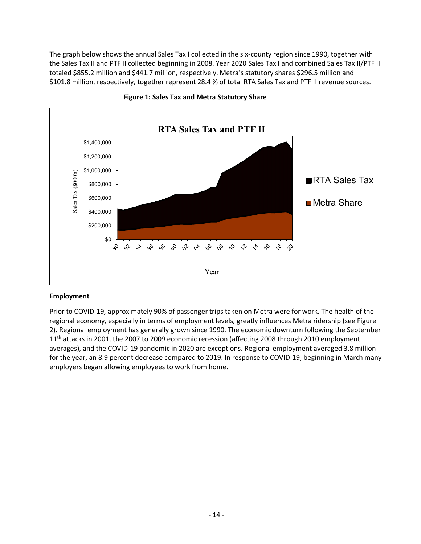The graph below shows the annual Sales Tax I collected in the six-county region since 1990, together with the Sales Tax II and PTF II collected beginning in 2008. Year 2020 Sales Tax I and combined Sales Tax II/PTF II totaled \$855.2 million and \$441.7 million, respectively. Metra's statutory shares \$296.5 million and \$101.8 million, respectively, together represent 28.4 % of total RTA Sales Tax and PTF II revenue sources.





#### **Employment**

Prior to COVID-19, approximately 90% of passenger trips taken on Metra were for work. The health of the regional economy, especially in terms of employment levels, greatly influences Metra ridership (see Figure 2). Regional employment has generally grown since 1990. The economic downturn following the September 11<sup>th</sup> attacks in 2001, the 2007 to 2009 economic recession (affecting 2008 through 2010 employment averages), and the COVID-19 pandemic in 2020 are exceptions. Regional employment averaged 3.8 million for the year, an 8.9 percent decrease compared to 2019. In response to COVID-19, beginning in March many employers began allowing employees to work from home.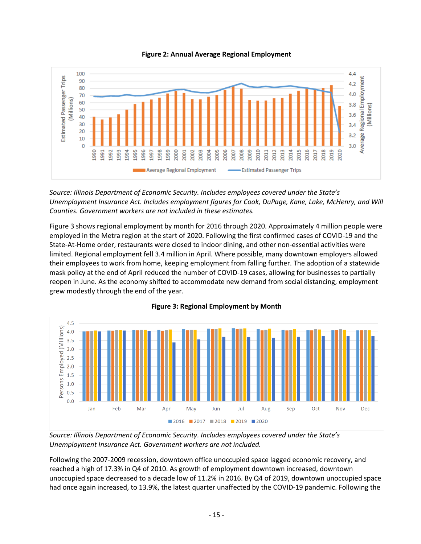

**Figure 2: Annual Average Regional Employment**

*Source: Illinois Department of Economic Security. Includes employees covered under the State's Unemployment Insurance Act. Includes employment figures for Cook, DuPage, Kane, Lake, McHenry, and Will Counties. Government workers are not included in these estimates.*

Figure 3 shows regional employment by month for 2016 through 2020. Approximately 4 million people were employed in the Metra region at the start of 2020. Following the first confirmed cases of COVID-19 and the State-At-Home order, restaurants were closed to indoor dining, and other non-essential activities were limited. Regional employment fell 3.4 million in April. Where possible, many downtown employers allowed their employees to work from home, keeping employment from falling further. The adoption of a statewide mask policy at the end of April reduced the number of COVID-19 cases, allowing for businesses to partially reopen in June. As the economy shifted to accommodate new demand from social distancing, employment grew modestly through the end of the year.



#### **Figure 3: Regional Employment by Month**

*Source: Illinois Department of Economic Security. Includes employees covered under the State's Unemployment Insurance Act. Government workers are not included.*

Following the 2007-2009 recession, downtown office unoccupied space lagged economic recovery, and reached a high of 17.3% in Q4 of 2010. As growth of employment downtown increased, downtown unoccupied space decreased to a decade low of 11.2% in 2016. By Q4 of 2019, downtown unoccupied space had once again increased, to 13.9%, the latest quarter unaffected by the COVID-19 pandemic. Following the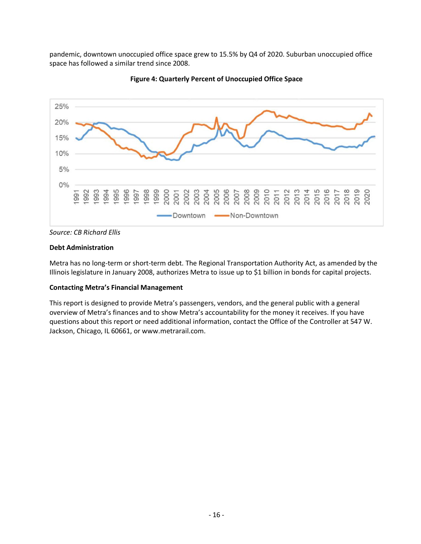pandemic, downtown unoccupied office space grew to 15.5% by Q4 of 2020. Suburban unoccupied office space has followed a similar trend since 2008.





#### **Debt Administration**

Metra has no long-term or short-term debt. The Regional Transportation Authority Act, as amended by the Illinois legislature in January 2008, authorizes Metra to issue up to \$1 billion in bonds for capital projects.

#### **Contacting Metra's Financial Management**

This report is designed to provide Metra's passengers, vendors, and the general public with a general overview of Metra's finances and to show Metra's accountability for the money it receives. If you have questions about this report or need additional information, contact the Office of the Controller at 547 W. Jackson, Chicago, IL 60661, or www.metrarail.com.

*Source: CB Richard Ellis*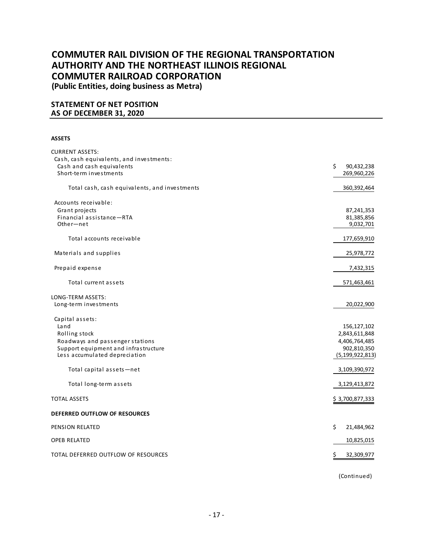**(Public Entities, doing business as Metra)**

#### **STATEMENT OF NET POSITION AS OF DECEMBER 31, 2020**

#### **ASSETS**

| <b>CURRENT ASSETS:</b>                        |                    |
|-----------------------------------------------|--------------------|
| Cash, cash equivalents, and investments:      |                    |
| Cash and cash equivalents                     | Ś.<br>90,432,238   |
| Short-term investments                        | 269,960,226        |
| Total cash, cash equivalents, and investments | 360,392,464        |
| Accounts receivable:                          |                    |
| Grant projects                                | 87,241,353         |
| Financial assistance-RTA                      | 81,385,856         |
| Other-net                                     | 9,032,701          |
| Total accounts receivable                     | 177,659,910        |
| Materials and supplies                        | 25,978,772         |
| Prepaid expense                               | 7,432,315          |
| Total current assets                          | 571,463,461        |
| LONG-TERM ASSETS:                             |                    |
| Long-term investments                         | 20,022,900         |
| Capital assets:                               |                    |
| Land                                          | 156,127,102        |
| Rolling stock                                 | 2,843,611,848      |
| Roadways and passenger stations               | 4,406,764,485      |
| Support equipment and infrastructure          | 902,810,350        |
| Less accumulated depreciation                 | (5, 199, 922, 813) |
| Total capital assets-net                      | 3,109,390,972      |
| Total long-term assets                        | 3,129,413,872      |
| <b>TOTAL ASSETS</b>                           | \$3,700,877,333    |
| DEFERRED OUTFLOW OF RESOURCES                 |                    |
| PENSION RELATED                               | \$<br>21,484,962   |
| <b>OPEB RELATED</b>                           | 10,825,015         |
| TOTAL DEFERRED OUTFLOW OF RESOURCES           | 32,309,977<br>Ş    |
|                                               |                    |

(Continued)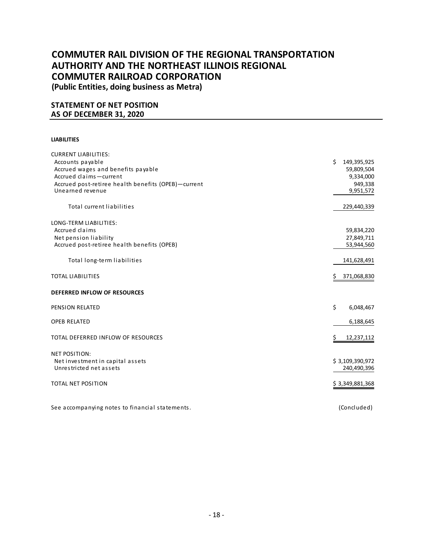**(Public Entities, doing business as Metra)**

#### **STATEMENT OF NET POSITION AS OF DECEMBER 31, 2020**

#### **LIABILITIES**

| <b>CURRENT LIABILITIES:</b>                         |                   |
|-----------------------------------------------------|-------------------|
| Accounts payable                                    | Ś.<br>149,395,925 |
| Accrued wages and benefits payable                  | 59,809,504        |
| Accrued claims-current                              | 9,334,000         |
| Accrued post-retiree health benefits (OPEB)-current | 949,338           |
| Unearned revenue                                    | 9,951,572         |
|                                                     |                   |
| Total current liabilities                           | 229,440,339       |
|                                                     |                   |
| LONG-TERM LIABILITIES:                              |                   |
| Accrued claims                                      | 59,834,220        |
| Net pension liability                               | 27,849,711        |
| Accrued post-retiree health benefits (OPEB)         | 53,944,560        |
|                                                     |                   |
| Total long-term liabilities                         | 141,628,491       |
|                                                     |                   |
| <b>TOTAL LIABILITIES</b>                            | 371,068,830<br>Ş  |
|                                                     |                   |
| DEFERRED INFLOW OF RESOURCES                        |                   |
| <b>PENSION RELATED</b>                              | \$<br>6,048,467   |
|                                                     |                   |
| <b>OPEB RELATED</b>                                 | 6,188,645         |
|                                                     |                   |
| TOTAL DEFERRED INFLOW OF RESOURCES                  | Ś<br>12,237,112   |
|                                                     |                   |
| <b>NET POSITION:</b>                                |                   |
| Net investment in capital assets                    | \$3,109,390,972   |
| Unrestricted net assets                             | 240,490,396       |
| <b>TOTAL NET POSITION</b>                           |                   |
|                                                     | \$3,349,881,368   |
|                                                     |                   |
| See accompanying notes to financial statements.     | (Concluded)       |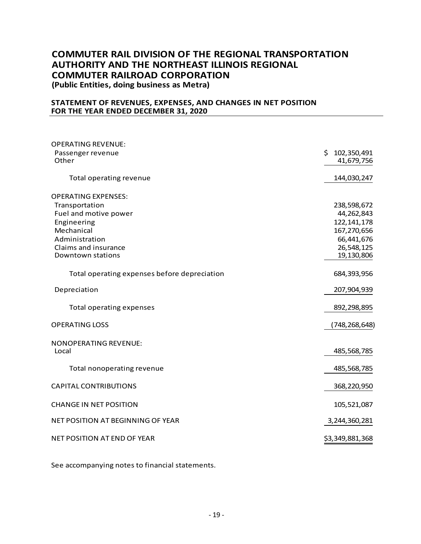**(Public Entities, doing business as Metra)**

#### **STATEMENT OF REVENUES, EXPENSES, AND CHANGES IN NET POSITION FOR THE YEAR ENDED DECEMBER 31, 2020**

| <b>OPERATING REVENUE:</b>                    |                             |
|----------------------------------------------|-----------------------------|
| Passenger revenue<br>Other                   | \$102,350,491<br>41,679,756 |
| Total operating revenue                      | 144,030,247                 |
| <b>OPERATING EXPENSES:</b>                   |                             |
| Transportation                               | 238,598,672                 |
| Fuel and motive power                        | 44,262,843                  |
| Engineering                                  | 122, 141, 178               |
| Mechanical                                   | 167,270,656                 |
| Administration                               | 66,441,676                  |
| Claims and insurance                         | 26,548,125                  |
| Downtown stations                            | 19,130,806                  |
| Total operating expenses before depreciation | 684,393,956                 |
| Depreciation                                 | 207,904,939                 |
| <b>Total operating expenses</b>              | 892,298,895                 |
| <b>OPERATING LOSS</b>                        | (748,268,648)               |
| <b>NONOPERATING REVENUE:</b>                 |                             |
| Local                                        | 485,568,785                 |
| Total nonoperating revenue                   | 485,568,785                 |
| <b>CAPITAL CONTRIBUTIONS</b>                 | 368,220,950                 |
| <b>CHANGE IN NET POSITION</b>                | 105,521,087                 |
| NET POSITION AT BEGINNING OF YEAR            | 3,244,360,281               |
| NET POSITION AT END OF YEAR                  | \$3,349,881,368             |

See accompanying notes to financial statements.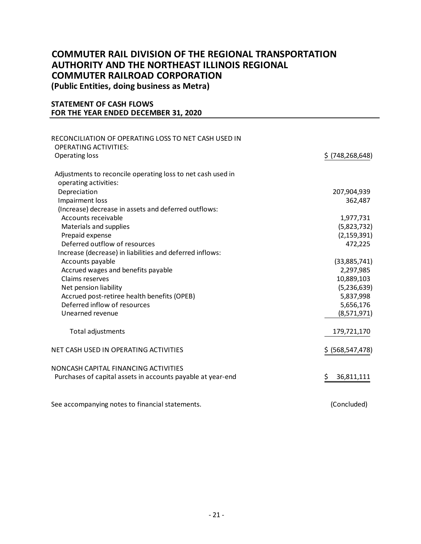**(Public Entities, doing business as Metra)**

#### **STATEMENT OF CASH FLOWS FOR THE YEAR ENDED DECEMBER 31, 2020**

| RECONCILIATION OF OPERATING LOSS TO NET CASH USED IN        |                    |
|-------------------------------------------------------------|--------------------|
| <b>OPERATING ACTIVITIES:</b><br>Operating loss              | $$$ (748,268,648)  |
| Adjustments to reconcile operating loss to net cash used in |                    |
| operating activities:                                       |                    |
| Depreciation                                                | 207,904,939        |
| <b>Impairment loss</b>                                      | 362,487            |
| (Increase) decrease in assets and deferred outflows:        |                    |
| Accounts receivable                                         | 1,977,731          |
| Materials and supplies                                      | (5,823,732)        |
| Prepaid expense                                             | (2, 159, 391)      |
| Deferred outflow of resources                               | 472,225            |
| Increase (decrease) in liabilities and deferred inflows:    |                    |
| Accounts payable                                            | (33,885,741)       |
| Accrued wages and benefits payable                          | 2,297,985          |
| Claims reserves                                             | 10,889,103         |
| Net pension liability                                       | (5,236,639)        |
| Accrued post-retiree health benefits (OPEB)                 | 5,837,998          |
| Deferred inflow of resources                                | 5,656,176          |
| Unearned revenue                                            | (8,571,971)        |
| Total adjustments                                           | 179,721,170        |
| NET CASH USED IN OPERATING ACTIVITIES                       | \$ (568, 547, 478) |
| NONCASH CAPITAL FINANCING ACTIVITIES                        |                    |
| Purchases of capital assets in accounts payable at year-end | \$<br>36,811,111   |
| See accompanying notes to financial statements.             | (Concluded)        |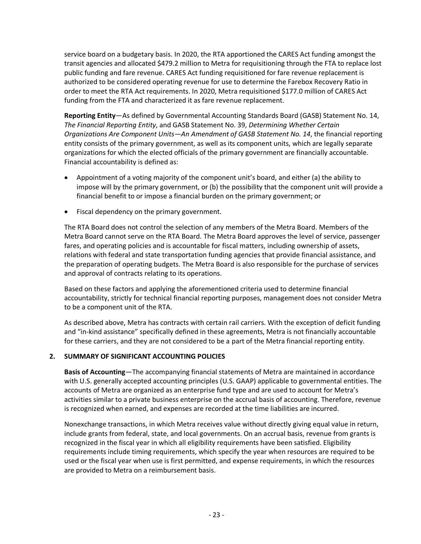service board on a budgetary basis. In 2020, the RTA apportioned the CARES Act funding amongst the transit agencies and allocated \$479.2 million to Metra for requisitioning through the FTA to replace lost public funding and fare revenue. CARES Act funding requisitioned for fare revenue replacement is authorized to be considered operating revenue for use to determine the Farebox Recovery Ratio in order to meet the RTA Act requirements. In 2020, Metra requisitioned \$177.0 million of CARES Act funding from the FTA and characterized it as fare revenue replacement.

**Reporting Entity**—As defined by Governmental Accounting Standards Board (GASB) Statement No. 14, *The Financial Reporting Entity*, and GASB Statement No. 39, *Determining Whether Certain Organizations Are Component Units—An Amendment of GASB Statement No. 14*, the financial reporting entity consists of the primary government, as well as its component units, which are legally separate organizations for which the elected officials of the primary government are financially accountable. Financial accountability is defined as:

- Appointment of a voting majority of the component unit's board, and either (a) the ability to impose will by the primary government, or (b) the possibility that the component unit will provide a financial benefit to or impose a financial burden on the primary government; or
- Fiscal dependency on the primary government.

The RTA Board does not control the selection of any members of the Metra Board. Members of the Metra Board cannot serve on the RTA Board. The Metra Board approves the level of service, passenger fares, and operating policies and is accountable for fiscal matters, including ownership of assets, relations with federal and state transportation funding agencies that provide financial assistance, and the preparation of operating budgets. The Metra Board is also responsible for the purchase of services and approval of contracts relating to its operations.

Based on these factors and applying the aforementioned criteria used to determine financial accountability, strictly for technical financial reporting purposes, management does not consider Metra to be a component unit of the RTA.

As described above, Metra has contracts with certain rail carriers. With the exception of deficit funding and "in-kind assistance" specifically defined in these agreements, Metra is not financially accountable for these carriers, and they are not considered to be a part of the Metra financial reporting entity.

#### **2. SUMMARY OF SIGNIFICANT ACCOUNTING POLICIES**

**Basis of Accounting**—The accompanying financial statements of Metra are maintained in accordance with U.S. generally accepted accounting principles (U.S. GAAP) applicable to governmental entities. The accounts of Metra are organized as an enterprise fund type and are used to account for Metra's activities similar to a private business enterprise on the accrual basis of accounting. Therefore, revenue is recognized when earned, and expenses are recorded at the time liabilities are incurred.

Nonexchange transactions, in which Metra receives value without directly giving equal value in return, include grants from federal, state, and local governments. On an accrual basis, revenue from grants is recognized in the fiscal year in which all eligibility requirements have been satisfied. Eligibility requirements include timing requirements, which specify the year when resources are required to be used or the fiscal year when use is first permitted, and expense requirements, in which the resources are provided to Metra on a reimbursement basis.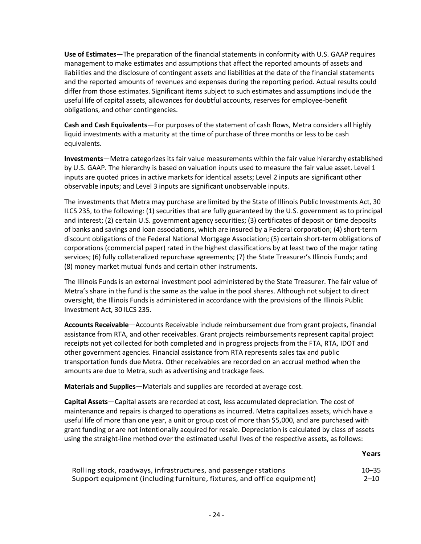**Use of Estimates**—The preparation of the financial statements in conformity with U.S. GAAP requires management to make estimates and assumptions that affect the reported amounts of assets and liabilities and the disclosure of contingent assets and liabilities at the date of the financial statements and the reported amounts of revenues and expenses during the reporting period. Actual results could differ from those estimates. Significant items subject to such estimates and assumptions include the useful life of capital assets, allowances for doubtful accounts, reserves for employee-benefit obligations, and other contingencies.

**Cash and Cash Equivalents**—For purposes of the statement of cash flows, Metra considers all highly liquid investments with a maturity at the time of purchase of three months or less to be cash equivalents.

**Investments**—Metra categorizes its fair value measurements within the fair value hierarchy established by U.S. GAAP. The hierarchy is based on valuation inputs used to measure the fair value asset. Level 1 inputs are quoted prices in active markets for identical assets; Level 2 inputs are significant other observable inputs; and Level 3 inputs are significant unobservable inputs.

The investments that Metra may purchase are limited by the State of Illinois Public Investments Act, 30 ILCS 235, to the following: (1) securities that are fully guaranteed by the U.S. government as to principal and interest; (2) certain U.S. government agency securities; (3) certificates of deposit or time deposits of banks and savings and loan associations, which are insured by a Federal corporation; (4) short-term discount obligations of the Federal National Mortgage Association; (5) certain short-term obligations of corporations (commercial paper) rated in the highest classifications by at least two of the major rating services; (6) fully collateralized repurchase agreements; (7) the State Treasurer's Illinois Funds; and (8) money market mutual funds and certain other instruments.

The Illinois Funds is an external investment pool administered by the State Treasurer. The fair value of Metra's share in the fund is the same as the value in the pool shares. Although not subject to direct oversight, the Illinois Funds is administered in accordance with the provisions of the Illinois Public Investment Act, 30 ILCS 235.

**Accounts Receivable**—Accounts Receivable include reimbursement due from grant projects, financial assistance from RTA, and other receivables. Grant projects reimbursements represent capital project receipts not yet collected for both completed and in progress projects from the FTA, RTA, IDOT and other government agencies. Financial assistance from RTA represents sales tax and public transportation funds due Metra. Other receivables are recorded on an accrual method when the amounts are due to Metra, such as advertising and trackage fees.

**Materials and Supplies**—Materials and supplies are recorded at average cost.

**Capital Assets**—Capital assets are recorded at cost, less accumulated depreciation. The cost of maintenance and repairs is charged to operations as incurred. Metra capitalizes assets, which have a useful life of more than one year, a unit or group cost of more than \$5,000, and are purchased with grant funding or are not intentionally acquired for resale. Depreciation is calculated by class of assets using the straight-line method over the estimated useful lives of the respective assets, as follows:

**Years**

| Rolling stock, roadways, infrastructures, and passenger stations        | $10 - 35$ |
|-------------------------------------------------------------------------|-----------|
| Support equipment (including furniture, fixtures, and office equipment) | $2 - 10$  |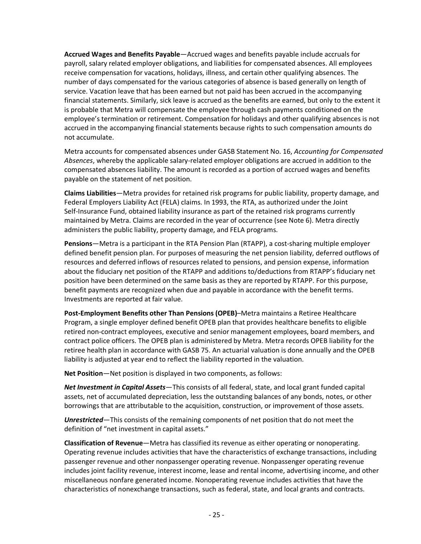**Accrued Wages and Benefits Payable**—Accrued wages and benefits payable include accruals for payroll, salary related employer obligations, and liabilities for compensated absences. All employees receive compensation for vacations, holidays, illness, and certain other qualifying absences. The number of days compensated for the various categories of absence is based generally on length of service. Vacation leave that has been earned but not paid has been accrued in the accompanying financial statements. Similarly, sick leave is accrued as the benefits are earned, but only to the extent it is probable that Metra will compensate the employee through cash payments conditioned on the employee's termination or retirement. Compensation for holidays and other qualifying absences is not accrued in the accompanying financial statements because rights to such compensation amounts do not accumulate.

Metra accounts for compensated absences under GASB Statement No. 16, *Accounting for Compensated Absences*, whereby the applicable salary-related employer obligations are accrued in addition to the compensated absences liability. The amount is recorded as a portion of accrued wages and benefits payable on the statement of net position.

**Claims Liabilities**—Metra provides for retained risk programs for public liability, property damage, and Federal Employers Liability Act (FELA) claims. In 1993, the RTA, as authorized under the Joint Self-Insurance Fund, obtained liability insurance as part of the retained risk programs currently maintained by Metra. Claims are recorded in the year of occurrence (see Note 6). Metra directly administers the public liability, property damage, and FELA programs.

**Pensions**—Metra is a participant in the RTA Pension Plan (RTAPP), a cost-sharing multiple employer defined benefit pension plan. For purposes of measuring the net pension liability, deferred outflows of resources and deferred inflows of resources related to pensions, and pension expense, information about the fiduciary net position of the RTAPP and additions to/deductions from RTAPP's fiduciary net position have been determined on the same basis as they are reported by RTAPP. For this purpose, benefit payments are recognized when due and payable in accordance with the benefit terms. Investments are reported at fair value.

**Post-Employment Benefits other Than Pensions (OPEB)**–Metra maintains a Retiree Healthcare Program, a single employer defined benefit OPEB plan that provides healthcare benefits to eligible retired non-contract employees, executive and senior management employees, board members, and contract police officers. The OPEB plan is administered by Metra. Metra records OPEB liability for the retiree health plan in accordance with GASB 75. An actuarial valuation is done annually and the OPEB liability is adjusted at year end to reflect the liability reported in the valuation.

**Net Position**—Net position is displayed in two components, as follows:

*Net Investment in Capital Assets*—This consists of all federal, state, and local grant funded capital assets, net of accumulated depreciation, less the outstanding balances of any bonds, notes, or other borrowings that are attributable to the acquisition, construction, or improvement of those assets.

*Unrestricted*—This consists of the remaining components of net position that do not meet the definition of "net investment in capital assets."

**Classification of Revenue**—Metra has classified its revenue as either operating or nonoperating. Operating revenue includes activities that have the characteristics of exchange transactions, including passenger revenue and other nonpassenger operating revenue. Nonpassenger operating revenue includes joint facility revenue, interest income, lease and rental income, advertising income, and other miscellaneous nonfare generated income. Nonoperating revenue includes activities that have the characteristics of nonexchange transactions, such as federal, state, and local grants and contracts.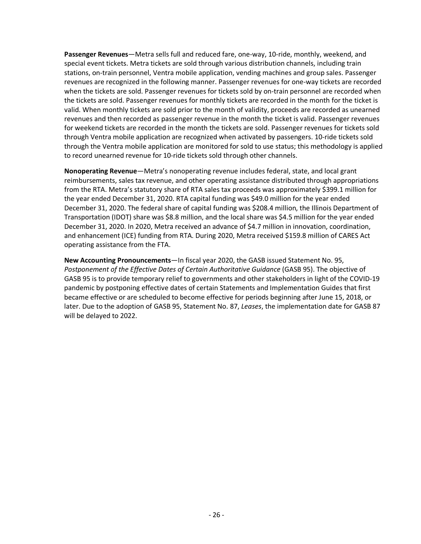**Passenger Revenues**—Metra sells full and reduced fare, one-way, 10-ride, monthly, weekend, and special event tickets. Metra tickets are sold through various distribution channels, including train stations, on-train personnel, Ventra mobile application, vending machines and group sales. Passenger revenues are recognized in the following manner. Passenger revenues for one-way tickets are recorded when the tickets are sold. Passenger revenues for tickets sold by on-train personnel are recorded when the tickets are sold. Passenger revenues for monthly tickets are recorded in the month for the ticket is valid. When monthly tickets are sold prior to the month of validity, proceeds are recorded as unearned revenues and then recorded as passenger revenue in the month the ticket is valid. Passenger revenues for weekend tickets are recorded in the month the tickets are sold. Passenger revenues for tickets sold through Ventra mobile application are recognized when activated by passengers. 10-ride tickets sold through the Ventra mobile application are monitored for sold to use status; this methodology is applied to record unearned revenue for 10-ride tickets sold through other channels.

**Nonoperating Revenue**—Metra's nonoperating revenue includes federal, state, and local grant reimbursements, sales tax revenue, and other operating assistance distributed through appropriations from the RTA. Metra's statutory share of RTA sales tax proceeds was approximately \$399.1 million for the year ended December 31, 2020. RTA capital funding was \$49.0 million for the year ended December 31, 2020. The federal share of capital funding was \$208.4 million, the Illinois Department of Transportation (IDOT) share was \$8.8 million, and the local share was \$4.5 million for the year ended December 31, 2020. In 2020, Metra received an advance of \$4.7 million in innovation, coordination, and enhancement (ICE) funding from RTA. During 2020, Metra received \$159.8 million of CARES Act operating assistance from the FTA.

**New Accounting Pronouncements**—In fiscal year 2020, the GASB issued Statement No. 95, *Postponement of the Effective Dates of Certain Authoritative Guidance* (GASB 95). The objective of GASB 95 is to provide temporary relief to governments and other stakeholders in light of the COVID-19 pandemic by postponing effective dates of certain Statements and Implementation Guides that first became effective or are scheduled to become effective for periods beginning after June 15, 2018, or later. Due to the adoption of GASB 95, Statement No. 87, *Leases*, the implementation date for GASB 87 will be delayed to 2022.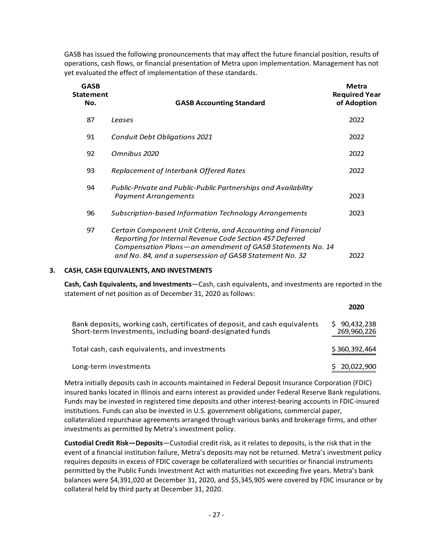GASB has issued the following pronouncements that may affect the future financial position, results of operations, cash flows, or financial presentation of Metra upon implementation. Management has not yet evaluated the effect of implementation of these standards.

| <b>GASB</b><br>Statement<br>No. | <b>GASB Accounting Standard</b>                                                                                                                                                                                                                   | Metra<br><b>Required Year</b><br>of Adoption |
|---------------------------------|---------------------------------------------------------------------------------------------------------------------------------------------------------------------------------------------------------------------------------------------------|----------------------------------------------|
| 87                              | Leases                                                                                                                                                                                                                                            | 2022                                         |
| 91                              | <b>Conduit Debt Obligations 2021</b>                                                                                                                                                                                                              | 2022                                         |
| 92                              | Omnibus 2020                                                                                                                                                                                                                                      | 2022                                         |
| 93                              | Replacement of Interbank Offered Rates                                                                                                                                                                                                            | 2022                                         |
| 94                              | Public-Private and Public-Public Partnerships and Availability<br><b>Payment Arrangements</b>                                                                                                                                                     | 2023                                         |
| 96                              | Subscription-based Information Technology Arrangements                                                                                                                                                                                            | 2023                                         |
| 97                              | Certain Component Unit Criteria, and Accounting and Financial<br>Reporting for Internal Revenue Code Section 457 Deferred<br>Compensation Plans-an amendment of GASB Statements No. 14<br>and No. 84, and a supersession of GASB Statement No. 32 | 2022                                         |

#### **3. CASH, CASH EQUIVALENTS, AND INVESTMENTS**

**Cash, Cash Equivalents, and Investments**—Cash, cash equivalents, and investments are reported in the statement of net position as of December 31, 2020 as follows:

|                                                                                                                                        | 2020                        |
|----------------------------------------------------------------------------------------------------------------------------------------|-----------------------------|
| Bank deposits, working cash, certificates of deposit, and cash equivalents<br>Short-term Investments, including board-designated funds | \$90,432,238<br>269,960,226 |
| Total cash, cash equivalents, and investments                                                                                          | \$360,392,464               |
| Long-term investments                                                                                                                  | 20,022,900                  |

Metra initially deposits cash in accounts maintained in Federal Deposit Insurance Corporation (FDIC) insured banks located in Illinois and earns interest as provided under Federal Reserve Bank regulations. Funds may be invested in registered time deposits and other interest-bearing accounts in FDIC-insured institutions. Funds can also be invested in U.S. government obligations, commercial paper, collateralized repurchase agreements arranged through various banks and brokerage firms, and other investments as permitted by Metra's investment policy.

**Custodial Credit Risk—Deposits**—Custodial credit risk, as it relates to deposits, is the risk that in the event of a financial institution failure, Metra's deposits may not be returned. Metra's investment policy requires deposits in excess of FDIC coverage be collateralized with securities or financial instruments permitted by the Public Funds Investment Act with maturities not exceeding five years. Metra's bank balances were \$4,391,020 at December 31, 2020, and \$5,345,905 were covered by FDIC insurance or by collateral held by third party at December 31, 2020.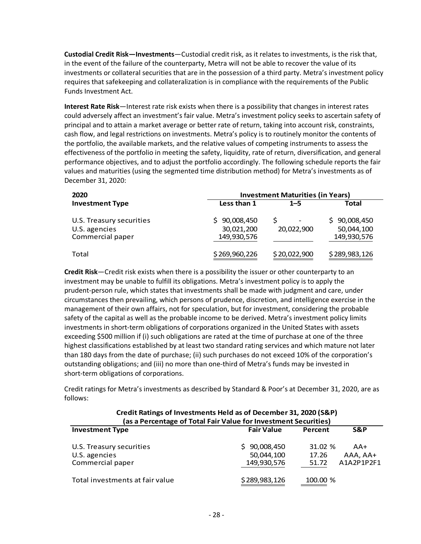**Custodial Credit Risk—Investments**—Custodial credit risk, as it relates to investments, is the risk that, in the event of the failure of the counterparty, Metra will not be able to recover the value of its investments or collateral securities that are in the possession of a third party. Metra's investment policy requires that safekeeping and collateralization is in compliance with the requirements of the Public Funds Investment Act.

**Interest Rate Risk**—Interest rate risk exists when there is a possibility that changes in interest rates could adversely affect an investment's fair value. Metra's investment policy seeks to ascertain safety of principal and to attain a market average or better rate of return, taking into account risk, constraints, cash flow, and legal restrictions on investments. Metra's policy is to routinely monitor the contents of the portfolio, the available markets, and the relative values of competing instruments to assess the effectiveness of the portfolio in meeting the safety, liquidity, rate of return, diversification, and general performance objectives, and to adjust the portfolio accordingly. The following schedule reports the fair values and maturities (using the segmented time distribution method) for Metra's investments as of December 31, 2020:

| 2020                                                          | <b>Investment Maturities (in Years)</b> |              |                                              |  |
|---------------------------------------------------------------|-----------------------------------------|--------------|----------------------------------------------|--|
| <b>Investment Type</b>                                        | Less than 1                             | $1 - 5$      | <b>Total</b>                                 |  |
| U.S. Treasury securities<br>U.S. agencies<br>Commercial paper | 90,008,450<br>30,021,200<br>149,930,576 | 20,022,900   | 90,008,450<br>S<br>50,044,100<br>149,930,576 |  |
| Total                                                         | \$269,960,226                           | \$20,022,900 | \$289,983,126                                |  |

**Credit Risk**—Credit risk exists when there is a possibility the issuer or other counterparty to an investment may be unable to fulfill its obligations. Metra's investment policy is to apply the prudent-person rule, which states that investments shall be made with judgment and care, under circumstances then prevailing, which persons of prudence, discretion, and intelligence exercise in the management of their own affairs, not for speculation, but for investment, considering the probable safety of the capital as well as the probable income to be derived. Metra's investment policy limits investments in short-term obligations of corporations organized in the United States with assets exceeding \$500 million if (i) such obligations are rated at the time of purchase at one of the three highest classifications established by at least two standard rating services and which mature not later than 180 days from the date of purchase; (ii) such purchases do not exceed 10% of the corporation's outstanding obligations; and (iii) no more than one-third of Metra's funds may be invested in short-term obligations of corporations.

Credit ratings for Metra's investments as described by Standard & Poor's at December 31, 2020, are as follows:

| Credit Ratings of Investments Held as of December 31, 2020 (S&P)<br>(as a Percentage of Total Fair Value for Investment Securities) |                                               |                           |                               |
|-------------------------------------------------------------------------------------------------------------------------------------|-----------------------------------------------|---------------------------|-------------------------------|
| <b>Investment Type</b>                                                                                                              | <b>Fair Value</b>                             | Percent                   | S&P                           |
| U.S. Treasury securities<br>U.S. agencies<br>Commercial paper                                                                       | 90,008,450<br>S.<br>50,044,100<br>149,930,576 | 31.02 %<br>17.26<br>51.72 | AA+<br>AAA, AA+<br>A1A2P1P2F1 |
| Total investments at fair value                                                                                                     | \$289,983,126                                 | 100.00 %                  |                               |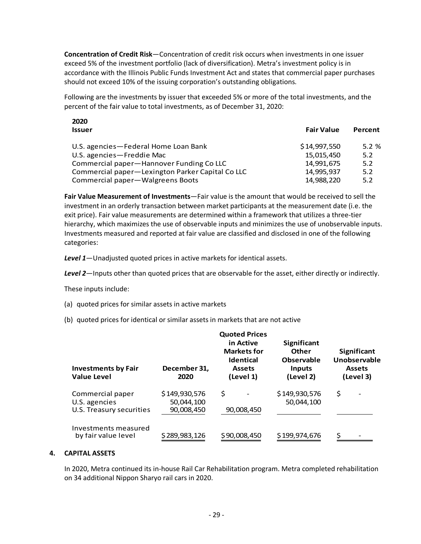**Concentration of Credit Risk**—Concentration of credit risk occurs when investments in one issuer exceed 5% of the investment portfolio (lack of diversification). Metra's investment policy is in accordance with the Illinois Public Funds Investment Act and states that commercial paper purchases should not exceed 10% of the issuing corporation's outstanding obligations.

Following are the investments by issuer that exceeded 5% or more of the total investments, and the percent of the fair value to total investments, as of December 31, 2020:

| ZUZU<br><b>Issuer</b>                            | <b>Fair Value</b> | Percent |
|--------------------------------------------------|-------------------|---------|
| U.S. agencies - Federal Home Loan Bank           | \$14,997,550      | 5.2%    |
| U.S. agencies-Freddie Mac                        | 15,015,450        | 5.2     |
| Commercial paper—Hannover Funding Co LLC         | 14,991,675        | 5.2     |
| Commercial paper-Lexington Parker Capital Co LLC | 14.995.937        | 5.2     |
| Commercial paper-Walgreens Boots                 | 14,988,220        | 5.2     |
|                                                  |                   |         |

**Fair Value Measurement of Investments**—Fair value is the amount that would be received to sell the investment in an orderly transaction between market participants at the measurement date (i.e. the exit price). Fair value measurements are determined within a framework that utilizes a three-tier hierarchy, which maximizes the use of observable inputs and minimizes the use of unobservable inputs. Investments measured and reported at fair value are classified and disclosed in one of the following categories:

*Level 1*—Unadjusted quoted prices in active markets for identical assets.

*Level 2*—Inputs other than quoted prices that are observable for the asset, either directly or indirectly.

These inputs include:

**2020**

- (a) quoted prices for similar assets in active markets
- (b) quoted prices for identical or similar assets in markets that are not active

| <b>Investments by Fair</b><br><b>Value Level</b>              | December 31,<br>2020                      | <b>Quoted Prices</b><br>in Active<br><b>Markets for</b><br><b>Identical</b><br><b>Assets</b><br>(Level 1) | <b>Significant</b><br>Other<br><b>Observable</b><br><b>Inputs</b><br>(Level 2) | Significant<br>Unobservable<br><b>Assets</b><br>(Level 3) |
|---------------------------------------------------------------|-------------------------------------------|-----------------------------------------------------------------------------------------------------------|--------------------------------------------------------------------------------|-----------------------------------------------------------|
| Commercial paper<br>U.S. agencies<br>U.S. Treasury securities | \$149,930,576<br>50,044,100<br>90,008,450 | \$<br>90,008,450                                                                                          | \$149,930,576<br>50,044,100                                                    | \$                                                        |
| Investments measured<br>by fair value level                   | \$289,983,126                             | \$90,008,450                                                                                              | \$199,974,676                                                                  |                                                           |

#### **4. CAPITAL ASSETS**

In 2020, Metra continued its in-house Rail Car Rehabilitation program. Metra completed rehabilitation on 34 additional Nippon Sharyo rail cars in 2020.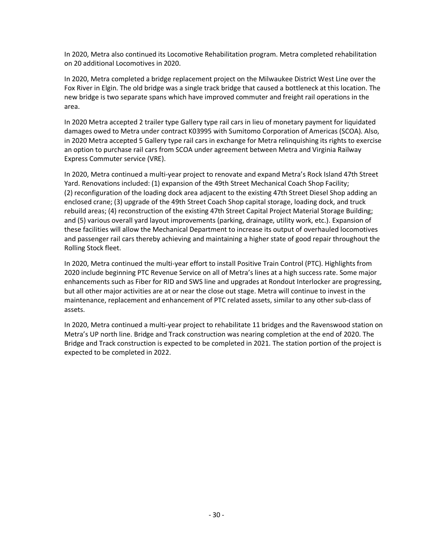In 2020, Metra also continued its Locomotive Rehabilitation program. Metra completed rehabilitation on 20 additional Locomotives in 2020.

In 2020, Metra completed a bridge replacement project on the Milwaukee District West Line over the Fox River in Elgin. The old bridge was a single track bridge that caused a bottleneck at this location. The new bridge is two separate spans which have improved commuter and freight rail operations in the area.

In 2020 Metra accepted 2 trailer type Gallery type rail cars in lieu of monetary payment for liquidated damages owed to Metra under contract K03995 with Sumitomo Corporation of Americas (SCOA). Also, in 2020 Metra accepted 5 Gallery type rail cars in exchange for Metra relinquishing its rights to exercise an option to purchase rail cars from SCOA under agreement between Metra and Virginia Railway Express Commuter service (VRE).

In 2020, Metra continued a multi-year project to renovate and expand Metra's Rock Island 47th Street Yard. Renovations included: (1) expansion of the 49th Street Mechanical Coach Shop Facility; (2) reconfiguration of the loading dock area adjacent to the existing 47th Street Diesel Shop adding an enclosed crane; (3) upgrade of the 49th Street Coach Shop capital storage, loading dock, and truck rebuild areas; (4) reconstruction of the existing 47th Street Capital Project Material Storage Building; and (5) various overall yard layout improvements (parking, drainage, utility work, etc.). Expansion of these facilities will allow the Mechanical Department to increase its output of overhauled locomotives and passenger rail cars thereby achieving and maintaining a higher state of good repair throughout the Rolling Stock fleet.

In 2020, Metra continued the multi-year effort to install Positive Train Control (PTC). Highlights from 2020 include beginning PTC Revenue Service on all of Metra's lines at a high success rate. Some major enhancements such as Fiber for RID and SWS line and upgrades at Rondout Interlocker are progressing, but all other major activities are at or near the close out stage. Metra will continue to invest in the maintenance, replacement and enhancement of PTC related assets, similar to any other sub-class of assets.

In 2020, Metra continued a multi-year project to rehabilitate 11 bridges and the Ravenswood station on Metra's UP north line. Bridge and Track construction was nearing completion at the end of 2020. The Bridge and Track construction is expected to be completed in 2021. The station portion of the project is expected to be completed in 2022.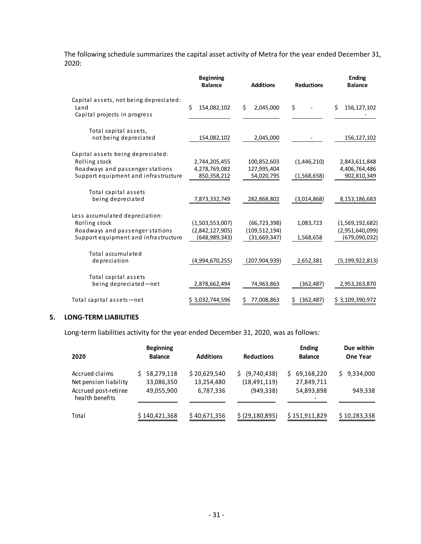The following schedule summarizes the capital asset activity of Metra for the year ended December 31, 2020:

|                                                                                                                               | <b>Beginning</b><br><b>Balance</b>                  | <b>Additions</b>                                  | <b>Reductions</b>          | <b>Ending</b><br><b>Balance</b>                     |
|-------------------------------------------------------------------------------------------------------------------------------|-----------------------------------------------------|---------------------------------------------------|----------------------------|-----------------------------------------------------|
| Capital assets, not being depreciated:<br>Land<br>Capital projects in progress                                                | Ś.<br>154,082,102                                   | Ś.<br>2,045,000                                   | \$                         | Ś.<br>156,127,102                                   |
| Total capital assets,<br>not being depreciated                                                                                | 154,082,102                                         | 2,045,000                                         |                            | 156,127,102                                         |
| Capital assets being depreciated:<br>Rolling stock<br>Roadways and passenger stations<br>Support equipment and infrastructure | 2,744,205,455<br>4,278,769,082<br>850,358,212       | 100,852,603<br>127,995,404<br>54,020,795          | (1,446,210)<br>(1,568,658) | 2,843,611,848<br>4,406,764,486<br>902,810,349       |
| Total capital assets<br>being depreciated                                                                                     | 7,873,332,749                                       | 282,868,802                                       | (3,014,868)                | 8,153,186,683                                       |
| Less accumulated depreciation:<br>Rolling stock<br>Roadways and passenger stations<br>Support equipment and infrastructure    | (1,503,553,007)<br>(2,842,127,905)<br>(648,989,343) | (66, 723, 398)<br>(109, 512, 194)<br>(31,669,347) | 1,083,723<br>1,568,658     | (1,569,192,682)<br>(2,951,640,099)<br>(679,090,032) |
| Total accumulated<br>depreciation                                                                                             | (4,994,670,255)                                     | (207, 904, 939)                                   | 2,652,381                  | (5, 199, 922, 813)                                  |
| Total capital assets<br>being depreciated-net                                                                                 | 2,878,662,494                                       | 74,963,863                                        | (362,487)                  | 2,953,263,870                                       |
| Total capital assets-net                                                                                                      | \$3,032,744,596                                     | 77,008,863                                        | (362, 487)<br>S            | \$3,109,390,972                                     |

#### **5. LONG-TERM LIABILITIES**

Long-term liabilities activity for the year ended December 31, 2020, was as follows:

| 2020                                    | <b>Beginning</b><br><b>Balance</b> | <b>Additions</b>           | <b>Reductions</b>                   | <b>Ending</b><br><b>Balance</b> | Due within<br>One Year |
|-----------------------------------------|------------------------------------|----------------------------|-------------------------------------|---------------------------------|------------------------|
| Accrued claims<br>Net pension liability | 58,279,118<br>33,086,350           | \$20,629,540<br>13,254,480 | (9,740,438)<br>S.<br>(18, 491, 119) | 69,168,220<br>S<br>27,849,711   | 9,334,000<br>S.        |
| Accrued post-retiree<br>health benefits | 49,055,900                         | 6,787,336                  | (949, 338)                          | 54,893,898                      | 949,338                |
| Total                                   | \$140,421,368                      | \$40,671,356               | \$ (29, 180, 895)                   | \$151,911,829                   | \$10,283,338           |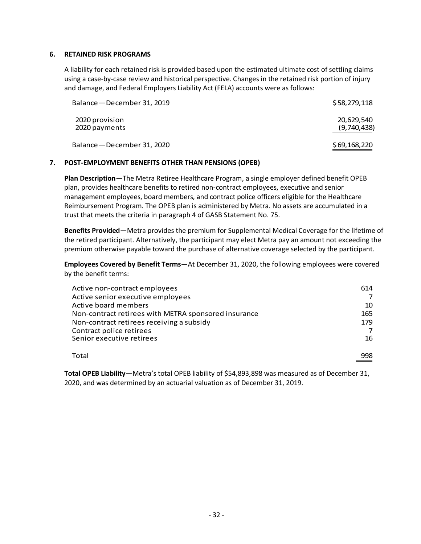#### **6. RETAINED RISK PROGRAMS**

A liability for each retained risk is provided based upon the estimated ultimate cost of settling claims using a case-by-case review and historical perspective. Changes in the retained risk portion of injury and damage, and Federal Employers Liability Act (FELA) accounts were as follows:

| Balance - December 31, 2019     | \$58,279,118              |
|---------------------------------|---------------------------|
| 2020 provision<br>2020 payments | 20,629,540<br>(9,740,438) |
| Balance - December 31, 2020     | \$69,168,220              |

#### **7. POST-EMPLOYMENT BENEFITS OTHER THAN PENSIONS (OPEB)**

**Plan Description**—The Metra Retiree Healthcare Program, a single employer defined benefit OPEB plan, provides healthcare benefits to retired non-contract employees, executive and senior management employees, board members, and contract police officers eligible for the Healthcare Reimbursement Program. The OPEB plan is administered by Metra. No assets are accumulated in a trust that meets the criteria in paragraph 4 of GASB Statement No. 75.

**Benefits Provided**—Metra provides the premium for Supplemental Medical Coverage for the lifetime of the retired participant. Alternatively, the participant may elect Metra pay an amount not exceeding the premium otherwise payable toward the purchase of alternative coverage selected by the participant.

**Employees Covered by Benefit Terms**—At December 31, 2020, the following employees were covered by the benefit terms:

| Active non-contract employees<br>Active senior executive employees | 614 |
|--------------------------------------------------------------------|-----|
| Active board members                                               | 10  |
| Non-contract retirees with METRA sponsored insurance               | 165 |
| Non-contract retirees receiving a subsidy                          | 179 |
| Contract police retirees                                           |     |
| Senior executive retirees                                          | 16  |
| Total                                                              | 998 |

**Total OPEB Liability**—Metra's total OPEB liability of \$54,893,898 was measured as of December 31, 2020, and was determined by an actuarial valuation as of December 31, 2019.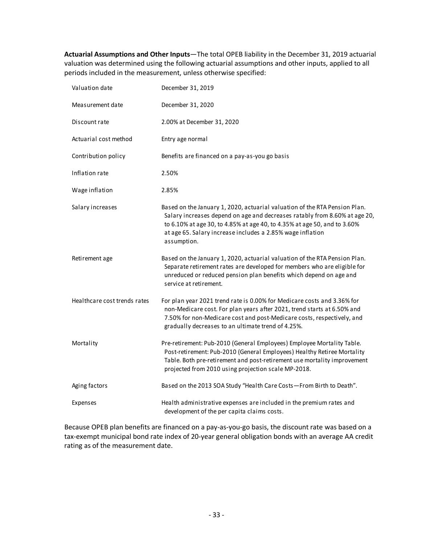**Actuarial Assumptions and Other Inputs**—The total OPEB liability in the December 31, 2019 actuarial valuation was determined using the following actuarial assumptions and other inputs, applied to all periods included in the measurement, unless otherwise specified:

| Valuation date               | December 31, 2019                                                                                                                                                                                                                                                                                                 |
|------------------------------|-------------------------------------------------------------------------------------------------------------------------------------------------------------------------------------------------------------------------------------------------------------------------------------------------------------------|
| Measurement date             | December 31, 2020                                                                                                                                                                                                                                                                                                 |
| Discount rate                | 2.00% at December 31, 2020                                                                                                                                                                                                                                                                                        |
| Actuarial cost method        | Entry age normal                                                                                                                                                                                                                                                                                                  |
| Contribution policy          | Benefits are financed on a pay-as-you go basis                                                                                                                                                                                                                                                                    |
| Inflation rate               | 2.50%                                                                                                                                                                                                                                                                                                             |
| Wage inflation               | 2.85%                                                                                                                                                                                                                                                                                                             |
| Salary increases             | Based on the January 1, 2020, actuarial valuation of the RTA Pension Plan.<br>Salary increases depend on age and decreases ratably from 8.60% at age 20,<br>to 6.10% at age 30, to 4.85% at age 40, to 4.35% at age 50, and to 3.60%<br>at age 65. Salary increase includes a 2.85% wage inflation<br>assumption. |
| Retirement age               | Based on the January 1, 2020, actuarial valuation of the RTA Pension Plan.<br>Separate retirement rates are developed for members who are eligible for<br>unreduced or reduced pension plan benefits which depend on age and<br>service at retirement.                                                            |
| Healthcare cost trends rates | For plan year 2021 trend rate is 0.00% for Medicare costs and 3.36% for<br>non-Medicare cost. For plan years after 2021, trend starts at 6.50% and<br>7.50% for non-Medicare cost and post-Medicare costs, respectively, and<br>gradually decreases to an ultimate trend of 4.25%.                                |
| Mortality                    | Pre-retirement: Pub-2010 (General Employees) Employee Mortality Table.<br>Post-retirement: Pub-2010 (General Employees) Healthy Retiree Mortality<br>Table. Both pre-retirement and post-retirement use mortality improvement<br>projected from 2010 using projection scale MP-2018.                              |
| Aging factors                | Based on the 2013 SOA Study "Health Care Costs-From Birth to Death".                                                                                                                                                                                                                                              |
| Expenses                     | Health administrative expenses are included in the premium rates and<br>development of the per capita claims costs.                                                                                                                                                                                               |

Because OPEB plan benefits are financed on a pay-as-you-go basis, the discount rate was based on a tax-exempt municipal bond rate index of 20-year general obligation bonds with an average AA credit rating as of the measurement date.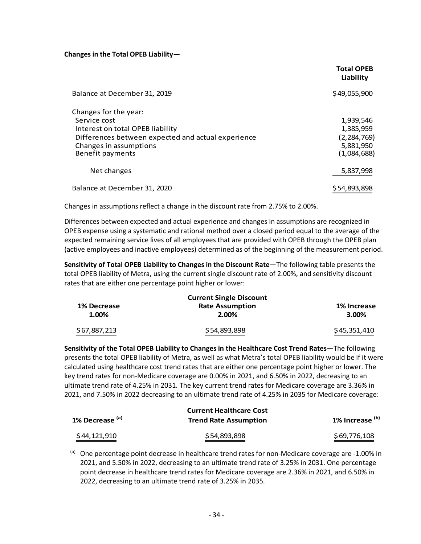#### **Changes in the Total OPEB Liability—**

|                                                                                                                                 | <b>Total OPEB</b><br>Liability        |
|---------------------------------------------------------------------------------------------------------------------------------|---------------------------------------|
| Balance at December 31, 2019                                                                                                    | \$49,055,900                          |
| Changes for the year:<br>Service cost<br>Interest on total OPEB liability<br>Differences between expected and actual experience | 1,939,546<br>1,385,959<br>(2,284,769) |
| Changes in assumptions<br>Benefit payments                                                                                      | 5,881,950<br>(1,084,688)              |
| Net changes                                                                                                                     | 5,837,998                             |
| Balance at December 31, 2020                                                                                                    | \$54,893,898                          |

Changes in assumptions reflect a change in the discount rate from 2.75% to 2.00%.

Differences between expected and actual experience and changes in assumptions are recognized in OPEB expense using a systematic and rational method over a closed period equal to the average of the expected remaining service lives of all employees that are provided with OPEB through the OPEB plan (active employees and inactive employees) determined as of the beginning of the measurement period.

**Sensitivity of Total OPEB Liability to Changes in the Discount Rate**—The following table presents the total OPEB liability of Metra, using the current single discount rate of 2.00%, and sensitivity discount rates that are either one percentage point higher or lower:

| <b>Current Single Discount</b> |                                 |                      |  |  |
|--------------------------------|---------------------------------|----------------------|--|--|
| 1% Decrease<br>1.00%           | <b>Rate Assumption</b><br>2.00% | 1% Increase<br>3.00% |  |  |
| \$67,887,213                   | \$54,893,898                    | \$45,351,410         |  |  |

**Sensitivity of the Total OPEB Liability to Changes in the Healthcare Cost Trend Rates**—The following presents the total OPEB liability of Metra, as well as what Metra's total OPEB liability would be if it were calculated using healthcare cost trend rates that are either one percentage point higher or lower. The key trend rates for non-Medicare coverage are 0.00% in 2021, and 6.50% in 2022, decreasing to an ultimate trend rate of 4.25% in 2031. The key current trend rates for Medicare coverage are 3.36% in 2021, and 7.50% in 2022 decreasing to an ultimate trend rate of 4.25% in 2035 for Medicare coverage:

|                            | <b>Current Healthcare Cost</b> |                            |  |
|----------------------------|--------------------------------|----------------------------|--|
| 1% Decrease <sup>(a)</sup> | <b>Trend Rate Assumption</b>   | 1% Increase <sup>(b)</sup> |  |
| \$44,121,910               | \$54,893,898                   | \$69,776,108               |  |

 $(a)$  One percentage point decrease in healthcare trend rates for non-Medicare coverage are -1.00% in 2021, and 5.50% in 2022, decreasing to an ultimate trend rate of 3.25% in 2031. One percentage point decrease in healthcare trend rates for Medicare coverage are 2.36% in 2021, and 6.50% in 2022, decreasing to an ultimate trend rate of 3.25% in 2035.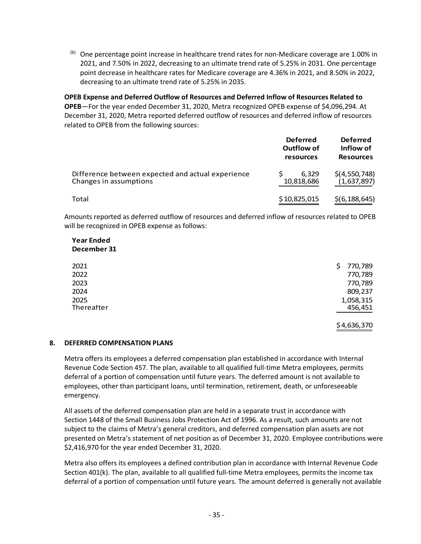$<sup>(b)</sup>$  One percentage point increase in healthcare trend rates for non-Medicare coverage are 1.00% in</sup> 2021, and 7.50% in 2022, decreasing to an ultimate trend rate of 5.25% in 2031. One percentage point decrease in healthcare rates for Medicare coverage are 4.36% in 2021, and 8.50% in 2022, decreasing to an ultimate trend rate of 5.25% in 2035.

**OPEB Expense and Deferred Outflow of Resources and Deferred Inflow of Resources Related to OPEB**—For the year ended December 31, 2020, Metra recognized OPEB expense of \$4,096,294. At December 31, 2020, Metra reported deferred outflow of resources and deferred inflow of resources related to OPEB from the following sources:

|                                                                             | <b>Deferred</b><br>Outflow of<br>resources | <b>Deferred</b><br>Inflow of<br><b>Resources</b> |
|-----------------------------------------------------------------------------|--------------------------------------------|--------------------------------------------------|
| Difference between expected and actual experience<br>Changes in assumptions | 6.329<br>10,818,686                        | \$(4,550,748)<br>(1,637,897)                     |
| Total                                                                       | \$10,825,015                               | \$(6, 188, 645)                                  |

Amounts reported as deferred outflow of resources and deferred inflow of resources related to OPEB will be recognized in OPEB expense as follows:

#### **Year Ended December 31**

| 2021       | 770,789<br>S. |
|------------|---------------|
| 2022       | 770,789       |
| 2023       | 770,789       |
| 2024       | 809,237       |
| 2025       | 1,058,315     |
| Thereafter | 456,451       |
|            |               |
|            | \$4,636,370   |

#### **8. DEFERRED COMPENSATION PLANS**

Metra offers its employees a deferred compensation plan established in accordance with Internal Revenue Code Section 457. The plan, available to all qualified full-time Metra employees, permits deferral of a portion of compensation until future years. The deferred amount is not available to employees, other than participant loans, until termination, retirement, death, or unforeseeable emergency.

All assets of the deferred compensation plan are held in a separate trust in accordance with Section 1448 of the Small Business Jobs Protection Act of 1996. As a result, such amounts are not subject to the claims of Metra's general creditors, and deferred compensation plan assets are not presented on Metra's statement of net position as of December 31, 2020. Employee contributions were \$2,416,970 for the year ended December 31, 2020.

Metra also offers its employees a defined contribution plan in accordance with Internal Revenue Code Section 401(k). The plan, available to all qualified full-time Metra employees, permits the income tax deferral of a portion of compensation until future years. The amount deferred is generally not available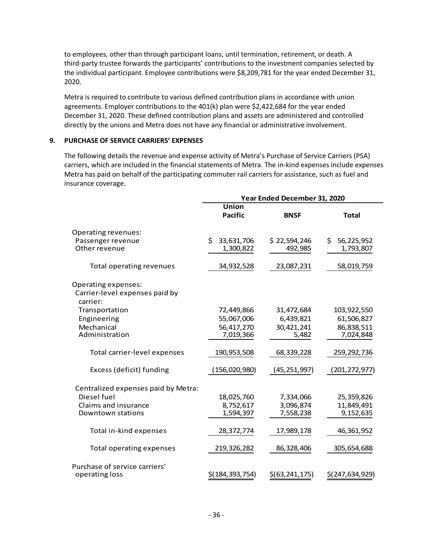to employees, other than through participant loans, until termination, retirement, or death. A third-party trustee forwards the participants' contributions to the investment companies selected by the individual participant. Employee contributions were \$8,209,781 for the year ended December 31, 2020.

Metra is required to contribute to various defined contribution plans in accordance with union agreements. Employer contributions to the 401(k) plan were \$2,422,684 for the year ended December 31, 2020. These defined contribution plans and assets are administered and controlled directly by the unions and Metra does not have any financial or administrative involvement.

#### **9. PURCHASE OF SERVICE CARRIERS' EXPENSES**

The following details the revenue and expense activity of Metra's Purchase of Service Carriers (PSA) carriers, which are included in the financial statements of Metra. The in-kind expenses include expenses Metra has paid on behalf of the participating commuter rail carriers for assistance, such as fuel and insurance coverage.

|                                     | Year Ended December 31, 2020 |                  |                   |  |
|-------------------------------------|------------------------------|------------------|-------------------|--|
|                                     | <b>Union</b>                 |                  |                   |  |
|                                     | <b>Pacific</b>               | <b>BNSF</b>      | <b>Total</b>      |  |
| Operating revenues:                 |                              |                  |                   |  |
| Passenger revenue                   | 33,631,706<br>Ś.             | \$22,594,246     | 56,225,952<br>\$. |  |
| Other revenue                       | 1,300,822                    | 492,985          | 1,793,807         |  |
| Total operating revenues            | 34,932,528                   | 23,087,231       | 58,019,759        |  |
| Operating expenses:                 |                              |                  |                   |  |
| Carrier-level expenses paid by      |                              |                  |                   |  |
| carrier:                            |                              |                  |                   |  |
| Transportation                      | 72,449,866                   | 31,472,684       | 103,922,550       |  |
| Engineering                         | 55,067,006                   | 6,439,821        | 61,506,827        |  |
| Mechanical                          | 56,417,270                   | 30,421,241       | 86,838,511        |  |
| Administration                      | 7,019,366                    | 5,482            | 7,024,848         |  |
| Total carrier-level expenses        | 190,953,508                  | 68,339,228       | 259,292,736       |  |
| Excess (deficit) funding            | (156,020,980)                | (45, 251, 997)   | (201,272,977)     |  |
| Centralized expenses paid by Metra: |                              |                  |                   |  |
| Diesel fuel                         | 18,025,760                   | 7,334,066        | 25,359,826        |  |
| Claims and insurance                | 8,752,617                    | 3,096,874        | 11,849,491        |  |
| Downtown stations                   | 1,594,397                    | 7,558,238        | 9,152,635         |  |
| Total in-kind expenses              | 28,372,774                   | 17,989,178       | 46,361,952        |  |
| <b>Total operating expenses</b>     | 219,326,282                  | 86,328,406       | 305,654,688       |  |
| Purchase of service carriers'       |                              |                  |                   |  |
| operating loss                      | \$(184,393,754)              | \$(63, 241, 175) | \$(247,634,929)   |  |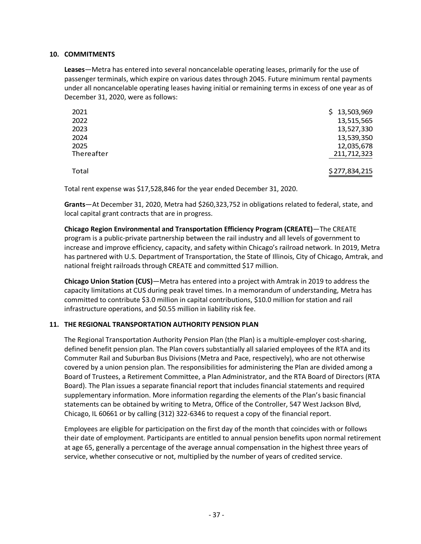#### **10. COMMITMENTS**

**Leases**—Metra has entered into several noncancelable operating leases, primarily for the use of passenger terminals, which expire on various dates through 2045. Future minimum rental payments under all noncancelable operating leases having initial or remaining terms in excess of one year as of December 31, 2020, were as follows:

| \$13,503,969  |
|---------------|
| 13,515,565    |
| 13,527,330    |
| 13,539,350    |
| 12,035,678    |
| 211,712,323   |
| \$277,834,215 |
|               |

Total rent expense was \$17,528,846 for the year ended December 31, 2020.

**Grants**—At December 31, 2020, Metra had \$260,323,752 in obligations related to federal, state, and local capital grant contracts that are in progress.

**Chicago Region Environmental and Transportation Efficiency Program (CREATE)**—The CREATE program is a public-private partnership between the rail industry and all levels of government to increase and improve efficiency, capacity, and safety within Chicago's railroad network. In 2019, Metra has partnered with U.S. Department of Transportation, the State of Illinois, City of Chicago, Amtrak, and national freight railroads through CREATE and committed \$17 million.

**Chicago Union Station (CUS)**—Metra has entered into a project with Amtrak in 2019 to address the capacity limitations at CUS during peak travel times. In a memorandum of understanding, Metra has committed to contribute \$3.0 million in capital contributions, \$10.0 million for station and rail infrastructure operations, and \$0.55 million in liability risk fee.

#### **11. THE REGIONAL TRANSPORTATION AUTHORITY PENSION PLAN**

The Regional Transportation Authority Pension Plan (the Plan) is a multiple-employer cost-sharing, defined benefit pension plan. The Plan covers substantially all salaried employees of the RTA and its Commuter Rail and Suburban Bus Divisions (Metra and Pace, respectively), who are not otherwise covered by a union pension plan. The responsibilities for administering the Plan are divided among a Board of Trustees, a Retirement Committee, a Plan Administrator, and the RTA Board of Directors (RTA Board). The Plan issues a separate financial report that includes financial statements and required supplementary information. More information regarding the elements of the Plan's basic financial statements can be obtained by writing to Metra, Office of the Controller, 547 West Jackson Blvd, Chicago, IL 60661 or by calling (312) 322-6346 to request a copy of the financial report.

Employees are eligible for participation on the first day of the month that coincides with or follows their date of employment. Participants are entitled to annual pension benefits upon normal retirement at age 65, generally a percentage of the average annual compensation in the highest three years of service, whether consecutive or not, multiplied by the number of years of credited service.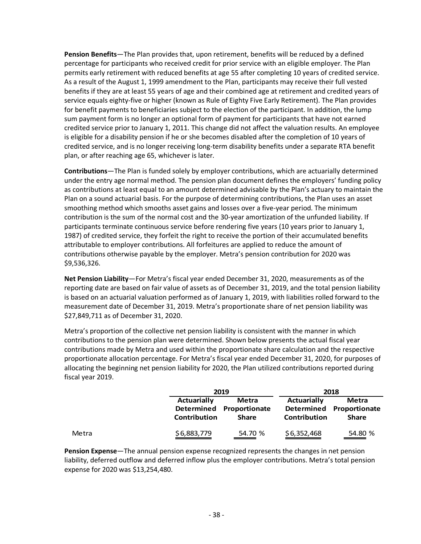**Pension Benefits**—The Plan provides that, upon retirement, benefits will be reduced by a defined percentage for participants who received credit for prior service with an eligible employer. The Plan permits early retirement with reduced benefits at age 55 after completing 10 years of credited service. As a result of the August 1, 1999 amendment to the Plan, participants may receive their full vested benefits if they are at least 55 years of age and their combined age at retirement and credited years of service equals eighty-five or higher (known as Rule of Eighty Five Early Retirement). The Plan provides for benefit payments to beneficiaries subject to the election of the participant. In addition, the lump sum payment form is no longer an optional form of payment for participants that have not earned credited service prior to January 1, 2011. This change did not affect the valuation results. An employee is eligible for a disability pension if he or she becomes disabled after the completion of 10 years of credited service, and is no longer receiving long-term disability benefits under a separate RTA benefit plan, or after reaching age 65, whichever is later.

**Contributions**—The Plan is funded solely by employer contributions, which are actuarially determined under the entry age normal method. The pension plan document defines the employers' funding policy as contributions at least equal to an amount determined advisable by the Plan's actuary to maintain the Plan on a sound actuarial basis. For the purpose of determining contributions, the Plan uses an asset smoothing method which smooths asset gains and losses over a five-year period. The minimum contribution is the sum of the normal cost and the 30-year amortization of the unfunded liability. If participants terminate continuous service before rendering five years (10 years prior to January 1, 1987) of credited service, they forfeit the right to receive the portion of their accumulated benefits attributable to employer contributions. All forfeitures are applied to reduce the amount of contributions otherwise payable by the employer. Metra's pension contribution for 2020 was \$9,536,326.

**Net Pension Liability**—For Metra's fiscal year ended December 31, 2020, measurements as of the reporting date are based on fair value of assets as of December 31, 2019, and the total pension liability is based on an actuarial valuation performed as of January 1, 2019, with liabilities rolled forward to the measurement date of December 31, 2019. Metra's proportionate share of net pension liability was \$27,849,711 as of December 31, 2020.

Metra's proportion of the collective net pension liability is consistent with the manner in which contributions to the pension plan were determined. Shown below presents the actual fiscal year contributions made by Metra and used within the proportionate share calculation and the respective proportionate allocation percentage. For Metra's fiscal year ended December 31, 2020, for purposes of allocating the beginning net pension liability for 2020, the Plan utilized contributions reported during fiscal year 2019.

|       |                                           | 2019                                              | 2018                               |                                                   |  |
|-------|-------------------------------------------|---------------------------------------------------|------------------------------------|---------------------------------------------------|--|
|       | <b>Actuarially</b><br><b>Contribution</b> | Metra<br>Determined Proportionate<br><b>Share</b> | <b>Actuarially</b><br>Contribution | Metra<br>Determined Proportionate<br><b>Share</b> |  |
| Metra | \$6,883,779                               | 54.70 %                                           | \$6,352,468                        | 54.80 %                                           |  |

**Pension Expense**—The annual pension expense recognized represents the changes in net pension liability, deferred outflow and deferred inflow plus the employer contributions. Metra's total pension expense for 2020 was \$13,254,480.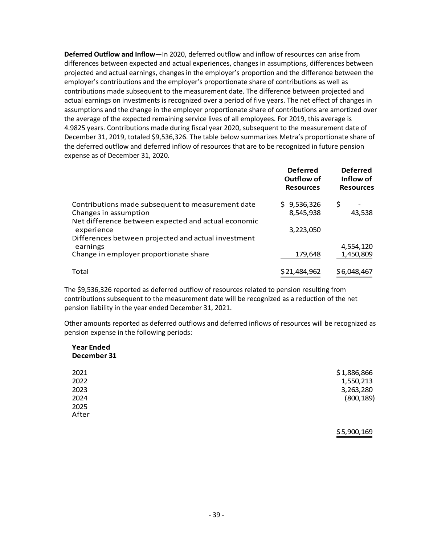**Deferred Outflow and Inflow**—In 2020, deferred outflow and inflow of resources can arise from differences between expected and actual experiences, changes in assumptions, differences between projected and actual earnings, changes in the employer's proportion and the difference between the employer's contributions and the employer's proportionate share of contributions as well as contributions made subsequent to the measurement date. The difference between projected and actual earnings on investments is recognized over a period of five years. The net effect of changes in assumptions and the change in the employer proportionate share of contributions are amortized over the average of the expected remaining service lives of all employees. For 2019, this average is 4.9825 years. Contributions made during fiscal year 2020, subsequent to the measurement date of December 31, 2019, totaled \$9,536,326. The table below summarizes Metra's proportionate share of the deferred outflow and deferred inflow of resources that are to be recognized in future pension expense as of December 31, 2020.

|                                                     | <b>Deferred</b><br>Outflow of<br><b>Resources</b> | <b>Deferred</b><br>Inflow of<br><b>Resources</b> |
|-----------------------------------------------------|---------------------------------------------------|--------------------------------------------------|
| Contributions made subsequent to measurement date   | \$9,536,326                                       | \$                                               |
| Changes in assumption                               | 8,545,938                                         | 43,538                                           |
| Net difference between expected and actual economic |                                                   |                                                  |
| experience                                          | 3,223,050                                         |                                                  |
| Differences between projected and actual investment |                                                   |                                                  |
| earnings                                            |                                                   | 4,554,120                                        |
| Change in employer proportionate share              | 179,648                                           | 1,450,809                                        |
| Total                                               | \$21,484,962                                      | \$6,048,467                                      |

The \$9,536,326 reported as deferred outflow of resources related to pension resulting from contributions subsequent to the measurement date will be recognized as a reduction of the net pension liability in the year ended December 31, 2021.

Other amounts reported as deferred outflows and deferred inflows of resources will be recognized as pension expense in the following periods:

#### **Year Ended December 31**

| 2021  | \$1,886,866 |
|-------|-------------|
| 2022  | 1,550,213   |
| 2023  | 3,263,280   |
| 2024  | (800, 189)  |
| 2025  |             |
| After |             |
|       |             |

\$5,900,169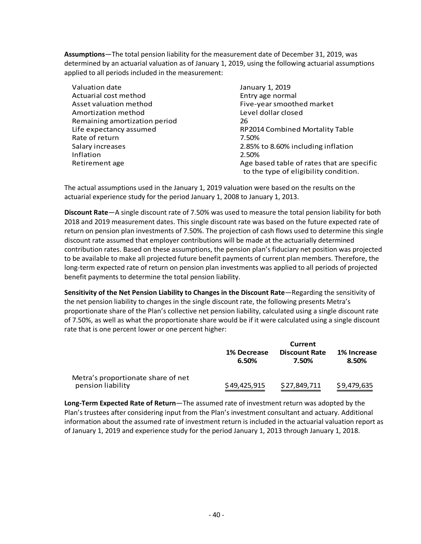**Assumptions**—The total pension liability for the measurement date of December 31, 2019, was determined by an actuarial valuation as of January 1, 2019, using the following actuarial assumptions applied to all periods included in the measurement:

Valuation date January 1, 2019 Actuarial cost method entry age normal Asset valuation method Five-year smoothed market Amortization method Level dollar closed Remaining amortization period 26 Rate of return 7.50% Inflation 2.50%

Life expectancy assumed **RP2014 Combined Mortality Table** Salary increases 2.85% to 8.60% including inflation Retirement age Age based table of rates that are specific to the type of eligibility condition.

The actual assumptions used in the January 1, 2019 valuation were based on the results on the actuarial experience study for the period January 1, 2008 to January 1, 2013.

**Discount Rate**—A single discount rate of 7.50% was used to measure the total pension liability for both 2018 and 2019 measurement dates. This single discount rate was based on the future expected rate of return on pension plan investments of 7.50%. The projection of cash flows used to determine this single discount rate assumed that employer contributions will be made at the actuarially determined contribution rates. Based on these assumptions, the pension plan's fiduciary net position was projected to be available to make all projected future benefit payments of current plan members. Therefore, the long-term expected rate of return on pension plan investments was applied to all periods of projected benefit payments to determine the total pension liability.

**Sensitivity of the Net Pension Liability to Changes in the Discount Rate**—Regarding the sensitivity of the net pension liability to changes in the single discount rate, the following presents Metra's proportionate share of the Plan's collective net pension liability, calculated using a single discount rate of 7.50%, as well as what the proportionate share would be if it were calculated using a single discount rate that is one percent lower or one percent higher:

|                                    | Current              |                               |                      |
|------------------------------------|----------------------|-------------------------------|----------------------|
|                                    | 1% Decrease<br>6.50% | <b>Discount Rate</b><br>7.50% | 1% Increase<br>8.50% |
| Metra's proportionate share of net |                      |                               |                      |
| pension liability                  | \$49,425,915         | \$27,849,711                  | \$9,479,635          |

**Long-Term Expected Rate of Return**—The assumed rate of investment return was adopted by the Plan's trustees after considering input from the Plan's investment consultant and actuary. Additional information about the assumed rate of investment return is included in the actuarial valuation report as of January 1, 2019 and experience study for the period January 1, 2013 through January 1, 2018.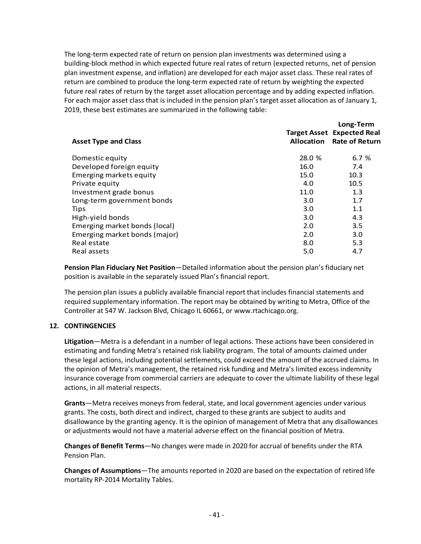The long-term expected rate of return on pension plan investments was determined using a building-block method in which expected future real rates of return (expected returns, net of pension plan investment expense, and inflation) are developed for each major asset class. These real rates of return are combined to produce the long-term expected rate of return by weighting the expected future real rates of return by the target asset allocation percentage and by adding expected inflation. For each major asset class that is included in the pension plan's target asset allocation as of January 1, 2019, these best estimates are summarized in the following table:

|                               |        | Long-Term<br><b>Target Asset Expected Real</b> |
|-------------------------------|--------|------------------------------------------------|
| <b>Asset Type and Class</b>   |        | <b>Allocation</b> Rate of Return               |
| Domestic equity               | 28.0 % | 6.7%                                           |
| Developed foreign equity      | 16.0   | 7.4                                            |
| Emerging markets equity       | 15.0   | 10.3                                           |
| Private equity                | 4.0    | 10.5                                           |
| Investment grade bonus        | 11.0   | 1.3                                            |
| Long-term government bonds    | 3.0    | 1.7                                            |
| Tips                          | 3.0    | 1.1                                            |
| High-yield bonds              | 3.0    | 4.3                                            |
| Emerging market bonds (local) | 2.0    | 3.5                                            |
| Emerging market bonds (major) | 2.0    | 3.0                                            |
| Real estate                   | 8.0    | 5.3                                            |
| Real assets                   | 5.0    | 4.7                                            |

**Pension Plan Fiduciary Net Position**—Detailed information about the pension plan's fiduciary net position is available in the separately issued Plan's financial report.

The pension plan issues a publicly available financial report that includes financial statements and required supplementary information. The report may be obtained by writing to Metra, Office of the Controller at 547 W. Jackson Blvd, Chicago IL 60661, or www.rtachicago.org.

#### **12. CONTINGENCIES**

**Litigation**—Metra is a defendant in a number of legal actions. These actions have been considered in estimating and funding Metra's retained risk liability program. The total of amounts claimed under these legal actions, including potential settlements, could exceed the amount of the accrued claims. In the opinion of Metra's management, the retained risk funding and Metra's limited excess indemnity insurance coverage from commercial carriers are adequate to cover the ultimate liability of these legal actions, in all material respects.

**Grants**—Metra receives moneys from federal, state, and local government agencies under various grants. The costs, both direct and indirect, charged to these grants are subject to audits and disallowance by the granting agency. It is the opinion of management of Metra that any disallowances or adjustments would not have a material adverse effect on the financial position of Metra.

**Changes of Benefit Terms**—No changes were made in 2020 for accrual of benefits under the RTA Pension Plan.

**Changes of Assumptions**—The amounts reported in 2020 are based on the expectation of retired life mortality RP-2014 Mortality Tables.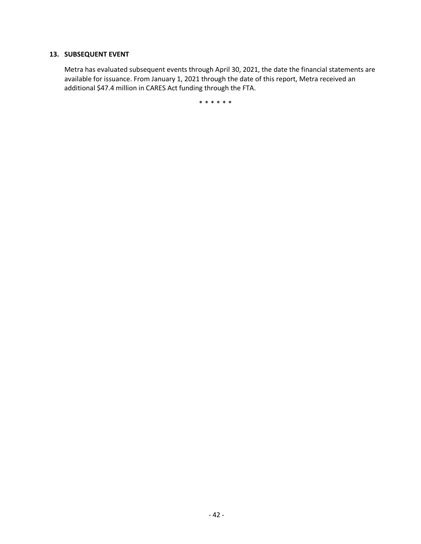#### **13. SUBSEQUENT EVENT**

Metra has evaluated subsequent events through April 30, 2021, the date the financial statements are available for issuance. From January 1, 2021 through the date of this report, Metra received an additional \$47.4 million in CARES Act funding through the FTA.

\*\*\*\*\*\*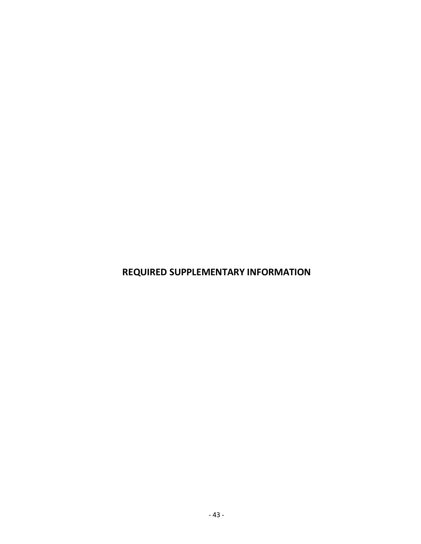**REQUIRED SUPPLEMENTARY INFORMATION**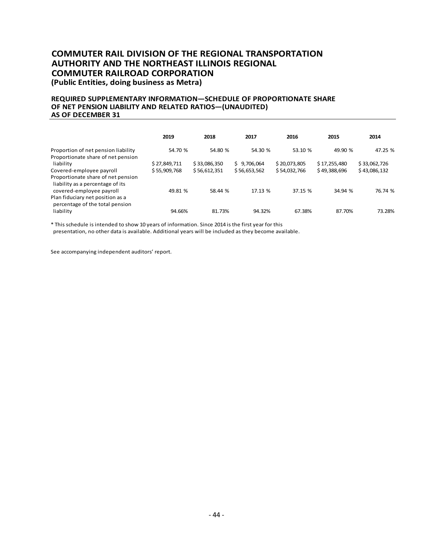#### **COMMUTER RAIL DIVISION OF THE REGIONAL TRANSPORTATION AUTHORITY AND THE NORTHEAST ILLINOIS REGIONAL COMMUTER RAILROAD CORPORATION (Public Entities, doing business as Metra)**

#### **REQUIRED SUPPLEMENTARY INFORMATION—SCHEDULE OF PROPORTIONATE SHARE OF NET PENSION LIABILITY AND RELATED RATIOS—(UNAUDITED) AS OF DECEMBER 31**

|                                                                                                    | 2019         | 2018         | 2017         | 2016         | 2015         | 2014         |
|----------------------------------------------------------------------------------------------------|--------------|--------------|--------------|--------------|--------------|--------------|
| Proportion of net pension liability<br>Proportionate share of net pension                          | 54.70 %      | 54.80 %      | 54.30 %      | 53.10 %      | 49.90 %      | 47.25 %      |
| liability                                                                                          | \$27,849,711 | \$33,086,350 | \$9,706,064  | \$20,073,805 | \$17,255,480 | \$33,062,726 |
| Covered-employee payroll                                                                           | \$55,909,768 | \$56,612,351 | \$56,653,562 | \$54,032,766 | \$49,388,696 | \$43,086,132 |
| Proportionate share of net pension<br>liability as a percentage of its<br>covered-employee payroll | 49.81 %      | 58.44 %      | 17.13 %      | 37.15 %      | 34.94 %      | 76.74 %      |
| Plan fiduciary net position as a<br>percentage of the total pension                                |              |              |              |              |              |              |
| liability                                                                                          | 94.66%       | 81.73%       | 94.32%       | 67.38%       | 87.70%       | 73.28%       |

\* This schedule is intended to show 10 years of information. Since 2014 is the first year for this

presentation, no other data is available. Additional years will be included as they become available.

See accompanying independent auditors' report.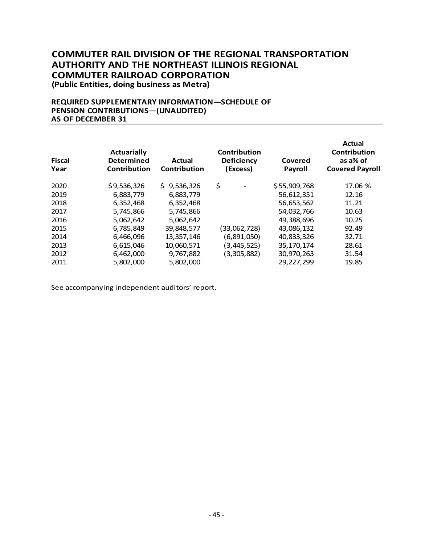**(Public Entities, doing business as Metra)**

#### **REQUIRED SUPPLEMENTARY INFORMATION—SCHEDULE OF PENSION CONTRIBUTIONS—(UNAUDITED) AS OF DECEMBER 31**

| <b>Fiscal</b><br>Year | <b>Actuarially</b><br><b>Determined</b><br><b>Actual</b><br>Contribution<br>Contribution |                 | <b>Contribution</b><br><b>Deficiency</b><br>(Excess) | Covered<br>Payroll | <b>Actual</b><br>Contribution<br>as a% of<br><b>Covered Payroll</b> |
|-----------------------|------------------------------------------------------------------------------------------|-----------------|------------------------------------------------------|--------------------|---------------------------------------------------------------------|
| 2020                  | \$9,536,326                                                                              | 9,536,326<br>Ś. | \$                                                   | \$55,909,768       | 17.06 %                                                             |
| 2019                  | 6,883,779                                                                                | 6,883,779       |                                                      | 56,612,351         | 12.16                                                               |
| 2018                  | 6,352,468                                                                                | 6,352,468       |                                                      | 56,653,562         | 11.21                                                               |
| 2017                  | 5,745,866                                                                                | 5,745,866       |                                                      | 54,032,766         | 10.63                                                               |
| 2016                  | 5,062,642                                                                                | 5,062,642       |                                                      | 49,388,696         | 10.25                                                               |
| 2015                  | 6,785,849                                                                                | 39,848,577      | (33,062,728)                                         | 43,086,132         | 92.49                                                               |
| 2014                  | 6,466,096                                                                                | 13,357,146      | (6,891,050)                                          | 40,833,326         | 32.71                                                               |
| 2013                  | 6,615,046                                                                                | 10,060,571      | (3, 445, 525)                                        | 35, 170, 174       | 28.61                                                               |
| 2012                  | 6,462,000                                                                                | 9,767,882       | (3,305,882)                                          | 30,970,263         | 31.54                                                               |
| 2011                  | 5,802,000                                                                                | 5,802,000       |                                                      | 29,227,299         | 19.85                                                               |

See accompanying independent auditors' report.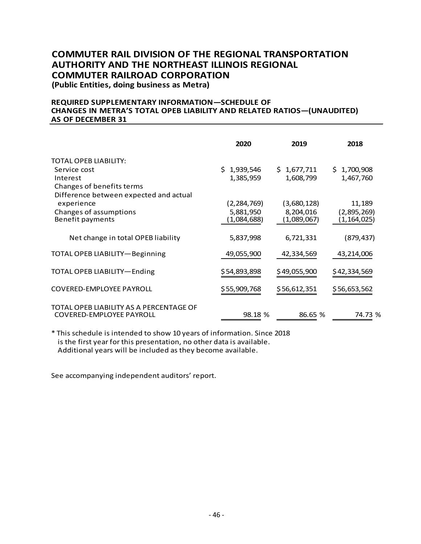**(Public Entities, doing business as Metra)**

#### **REQUIRED SUPPLEMENTARY INFORMATION—SCHEDULE OF CHANGES IN METRA'S TOTAL OPEB LIABILITY AND RELATED RATIOS—(UNAUDITED) AS OF DECEMBER 31**

|                                                                            | 2020          | 2019         | 2018         |
|----------------------------------------------------------------------------|---------------|--------------|--------------|
| TOTAL OPEB LIABILITY:                                                      |               |              |              |
| Service cost                                                               | \$1,939,546   | \$1,677,711  | \$1,700,908  |
| Interest                                                                   | 1,385,959     | 1,608,799    | 1,467,760    |
| Changes of benefits terms                                                  |               |              |              |
| Difference between expected and actual                                     |               |              |              |
| experience                                                                 | (2, 284, 769) | (3,680,128)  | 11,189       |
| Changes of assumptions                                                     | 5,881,950     | 8,204,016    | (2,895,269)  |
| Benefit payments                                                           | (1,084,688)   | (1,089,067)  | (1,164,025)  |
| Net change in total OPEB liability                                         | 5,837,998     | 6,721,331    | (879, 437)   |
| TOTAL OPEB LIABILITY-Beginning                                             | 49,055,900    | 42,334,569   | 43,214,006   |
| TOTAL OPEB LIABILITY-Ending                                                | \$54,893,898  | \$49,055,900 | \$42,334,569 |
| <b>COVERED-EMPLOYEE PAYROLL</b>                                            | \$55,909,768  | \$56,612,351 | \$56,653,562 |
| TOTAL OPEB LIABILITY AS A PERCENTAGE OF<br><b>COVERED-EMPLOYEE PAYROLL</b> | 98.18 %       | 86.65 %      | 74.73 %      |

\* This schedule is intended to show 10 years of information. Since 2018 is the first year for this presentation, no other data is available. Additional years will be included as they become available.

See accompanying independent auditors' report.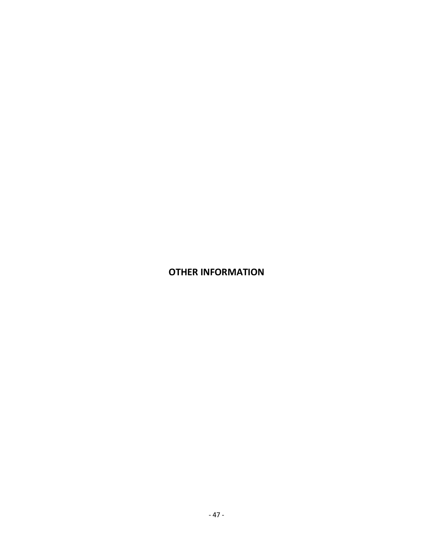## **OTHER INFORMATION**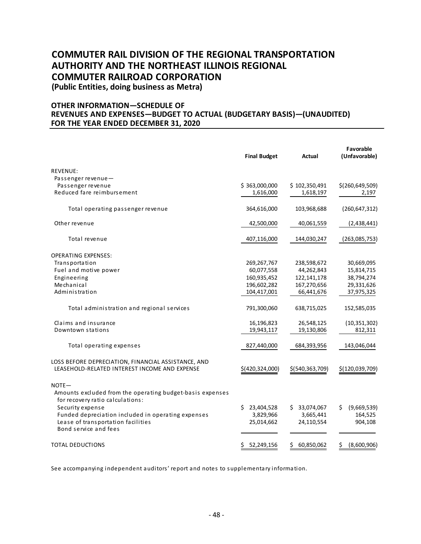**(Public Entities, doing business as Metra)**

#### **OTHER INFORMATION—SCHEDULE OF REVENUES AND EXPENSES—BUDGET TO ACTUAL (BUDGETARY BASIS)—(UNAUDITED) FOR THE YEAR ENDED DECEMBER 31, 2020**

|                                                                                                           | <b>Final Budget</b> | Actual            | Favorable<br>(Unfavorable) |
|-----------------------------------------------------------------------------------------------------------|---------------------|-------------------|----------------------------|
| <b>REVENUE:</b>                                                                                           |                     |                   |                            |
| Passenger revenue-                                                                                        |                     |                   |                            |
| Passenger revenue                                                                                         | \$363,000,000       | \$102,350,491     | \$(260,649,509)            |
| Reduced fare reimbursement                                                                                | 1,616,000           | 1,618,197         | 2,197                      |
| Total operating passenger revenue                                                                         | 364,616,000         | 103,968,688       | (260, 647, 312)            |
| Other revenue                                                                                             | 42,500,000          | 40,061,559        | (2,438,441)                |
| Total revenue                                                                                             | 407,116,000         | 144,030,247       | (263,085,753)              |
| <b>OPERATING EXPENSES:</b>                                                                                |                     |                   |                            |
| Transportation                                                                                            | 269, 267, 767       | 238,598,672       | 30,669,095                 |
| Fuel and motive power                                                                                     | 60,077,558          | 44,262,843        | 15,814,715                 |
| Engineering                                                                                               | 160,935,452         | 122,141,178       | 38,794,274                 |
| Mechanical                                                                                                | 196,602,282         | 167,270,656       | 29,331,626                 |
| Administration                                                                                            | 104,417,001         | 66,441,676        | 37,975,325                 |
| Total administration and regional services                                                                | 791,300,060         | 638,715,025       | 152,585,035                |
| Claims and insurance                                                                                      | 16,196,823          | 26,548,125        | (10, 351, 302)             |
| Downtown stations                                                                                         | 19,943,117          | 19,130,806        | 812,311                    |
| Total operating expenses                                                                                  | 827,440,000         | 684,393,956       | 143,046,044                |
| LOSS BEFORE DEPRECIATION, FINANCIAL ASSISTANCE, AND<br>LEASEHOLD-RELATED INTEREST INCOME AND EXPENSE      | \$(420,324,000)     | \$(540, 363, 709) | \$(120,039,709)            |
| $NOTE -$<br>Amounts excluded from the operating budget-basis expenses<br>for recovery ratio calculations: |                     |                   |                            |
| Security expense                                                                                          | 23,404,528<br>Ś.    | \$33,074,067      | (9,669,539)<br>S           |
| Funded depreciation included in operating expenses                                                        | 3,829,966           | 3,665,441         | 164,525                    |
| Lease of transportation facilities<br>Bond service and fees                                               | 25,014,662          | 24,110,554        | 904,108                    |
| TOTAL DEDUCTIONS                                                                                          | \$<br>52,249,156    | 60,850,062<br>\$  | \$<br>(8,600,906)          |

See accompanying independent auditors' report and notes to supplementary information.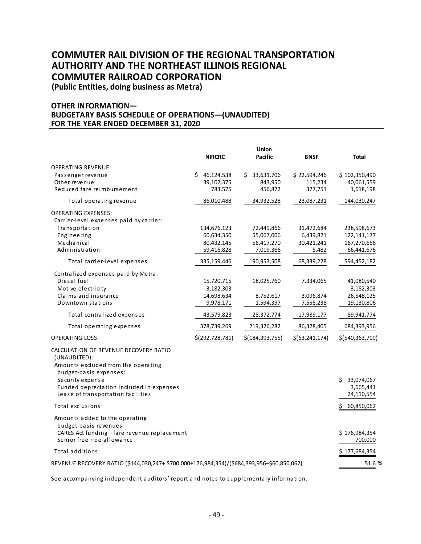**(Public Entities, doing business as Metra)**

#### **OTHER INFORMATION— BUDGETARY BASIS SCHEDULE OF OPERATIONS—(UNAUDITED) FOR THE YEAR ENDED DECEMBER 31, 2020**

|                                                                                                                                     | <b>NIRCRC</b>                         | Union<br><b>Pacific</b>                | <b>BNSF</b>                        | Total                                    |
|-------------------------------------------------------------------------------------------------------------------------------------|---------------------------------------|----------------------------------------|------------------------------------|------------------------------------------|
| OPERATING REVENUE:<br>Passenger revenue<br>Other revenue<br>Reduced fare reimbursement                                              | \$46,124,538<br>39,102,375<br>783,575 | 33,631,706<br>Ś.<br>843,950<br>456,872 | \$22,594,246<br>115,234<br>377,751 | \$102,350,490<br>40,061,559<br>1,618,198 |
| Total operating revenue                                                                                                             | 86,010,488                            | 34,932,528                             | 23,087,231                         | 144,030,247                              |
| <b>OPERATING EXPENSES:</b><br>Carrier-level expenses paid by carrier:<br>Transportation<br>Engineering                              | 134,676,123<br>60,634,350             | 72,449,866<br>55,067,006               | 31,472,684<br>6,439,821            | 238,598,673<br>122, 141, 177             |
| Mechanical<br>Administration                                                                                                        | 80,432,145<br>59,416,828              | 56,417,270<br>7,019,366                | 30,421,241<br>5,482                | 167,270,656<br>66,441,676                |
| Total carrier-level expenses                                                                                                        | 335,159,446                           | 190,953,508                            | 68,339,228                         | 594,452,182                              |
| Centralized expenses paid by Metra:<br>Diesel fuel<br>Motive electricity                                                            | 15,720,715<br>3,182,303               | 18,025,760                             | 7,334,065                          | 41,080,540<br>3,182,303                  |
| Claims and insurance<br>Downtown stations                                                                                           | 14,698,634<br>9,978,171               | 8,752,617<br>1,594,397                 | 3,096,874<br>7,558,238             | 26,548,125<br>19,130,806                 |
| Total centralized expenses                                                                                                          | 43,579,823                            | 28,372,774                             | 17,989,177                         | 89,941,774                               |
| Total operating expenses                                                                                                            | 378,739,269                           | 219,326,282                            | 86,328,405                         | 684,393,956                              |
| <b>OPERATING LOSS</b>                                                                                                               | \$(292,728,781)                       | \$(184, 393, 755)                      | \$(63, 241, 174)                   | \$(540,363,709)                          |
| CALCULATION OF REVENUE RECOVERY RATIO<br>(UNAUDITED):<br>Amounts excluded from the operating<br>budget-basis expenses:              |                                       |                                        |                                    |                                          |
| Security expense<br>Funded depreciation included in expenses<br>Lease of transportation facilities                                  |                                       |                                        |                                    | \$33,074,067<br>3,665,441<br>24,110,554  |
| Total exclusions                                                                                                                    |                                       |                                        |                                    | 60,850,062<br>\$                         |
| Amounts added to the operating<br>budget-basis revenues<br>CARES Act funding-fare revenue replacement<br>Senior free ride allowance |                                       |                                        |                                    | \$176,984,354<br>700,000                 |
| <b>Total additions</b>                                                                                                              |                                       |                                        |                                    | \$177,684,354                            |
| REVENUE RECOVERY RATIO (\$144,030,247+ \$700,000+176,984,354)/(\$684,393,956-\$60,850,062)                                          |                                       |                                        |                                    |                                          |
|                                                                                                                                     |                                       |                                        |                                    |                                          |

See accompanying independent auditors' report and notes to supplementary information.